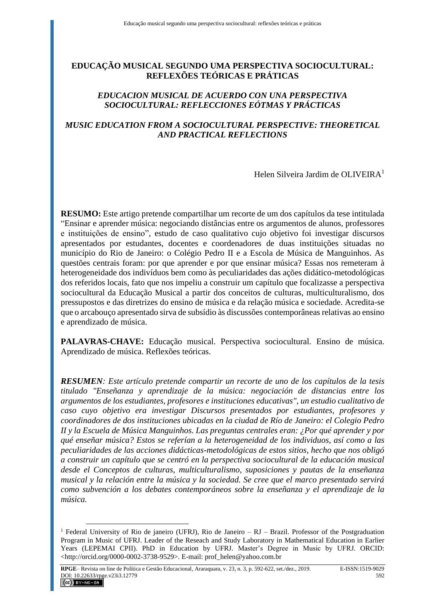# **EDUCAÇÃO MUSICAL SEGUNDO UMA PERSPECTIVA SOCIOCULTURAL: REFLEXÕES TEÓRICAS E PRÁTICAS**

## *EDUCACION MUSICAL DE ACUERDO CON UNA PERSPECTIVA SOCIOCULTURAL: REFLECCIONES EÓTMAS Y PRÁCTICAS*

# *MUSIC EDUCATION FROM A SOCIOCULTURAL PERSPECTIVE: THEORETICAL AND PRACTICAL REFLECTIONS*

Helen Silveira Jardim de OLIVEIR $A<sup>1</sup>$ 

**RESUMO:** Este artigo pretende compartilhar um recorte de um dos capítulos da tese intitulada "Ensinar e aprender música: negociando distâncias entre os argumentos de alunos, professores e instituições de ensino", estudo de caso qualitativo cujo objetivo foi investigar discursos apresentados por estudantes, docentes e coordenadores de duas instituições situadas no município do Rio de Janeiro: o Colégio Pedro II e a Escola de Música de Manguinhos. As questões centrais foram: por que aprender e por que ensinar música? Essas nos remeteram à heterogeneidade dos indivíduos bem como às peculiaridades das ações didático-metodológicas dos referidos locais, fato que nos impeliu a construir um capítulo que focalizasse a perspectiva sociocultural da Educação Musical a partir dos conceitos de culturas, multiculturalismo, dos pressupostos e das diretrizes do ensino de música e da relação música e sociedade. Acredita-se que o arcabouço apresentado sirva de subsídio às discussões contemporâneas relativas ao ensino e aprendizado de música.

**PALAVRAS-CHAVE:** Educação musical. Perspectiva sociocultural. Ensino de música. Aprendizado de música. Reflexões teóricas.

*RESUMEN: Este artículo pretende compartir un recorte de uno de los capítulos de la tesis titulado "Enseñanza y aprendizaje de la música: negociación de distancias entre los argumentos de los estudiantes, profesores e instituciones educativas", un estudio cualitativo de caso cuyo objetivo era investigar Discursos presentados por estudiantes, profesores y coordinadores de dos instituciones ubicadas en la ciudad de Río de Janeiro: el Colegio Pedro II y la Escuela de Música Manguinhos. Las preguntas centrales eran: ¿Por qué aprender y por qué enseñar música? Estos se referían a la heterogeneidad de los individuos, así como a las peculiaridades de las acciones didácticas-metodológicas de estos sitios, hecho que nos obligó a construir un capítulo que se centró en la perspectiva sociocultural de la educación musical desde el Conceptos de culturas, multiculturalismo, suposiciones y pautas de la enseñanza musical y la relación entre la música y la sociedad. Se cree que el marco presentado servirá como subvención a los debates contemporáneos sobre la enseñanza y el aprendizaje de la música.*

<sup>&</sup>lt;sup>1</sup> Federal University of Rio de janeiro (UFRJ), Rio de Janeiro – RJ – Brazil. Professor of the Postgraduation Program in Music of UFRJ. Leader of the Reseach and Study Laboratory in Mathematical Education in Earlier Years (LEPEMAI CPII). PhD in Education by UFRJ. Master's Degree in Music by UFRJ. ORCID: <http://orcid.org/0000-0002-3738-9529>. E-mail: prof\_helen@yahoo.com.br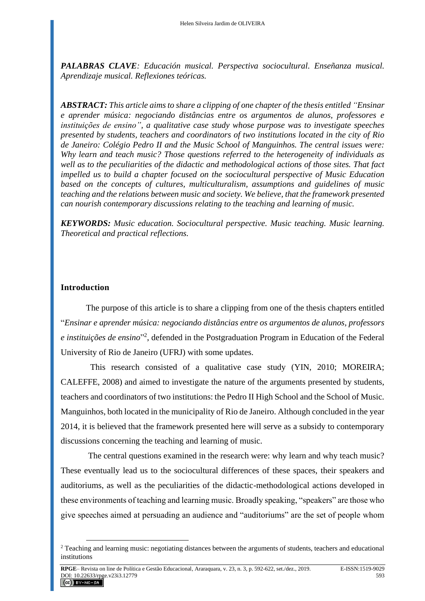*PALABRAS CLAVE: Educación musical. Perspectiva sociocultural. Enseñanza musical. Aprendizaje musical. Reflexiones teóricas.* 

*ABSTRACT: This article aims to share a clipping of one chapter of the thesis entitled "Ensinar e aprender música: negociando distâncias entre os argumentos de alunos, professores e instituições de ensino", a qualitative case study whose purpose was to investigate speeches presented by students, teachers and coordinators of two institutions located in the city of Rio de Janeiro: Colégio Pedro II and the Music School of Manguinhos. The central issues were: Why learn and teach music? Those questions referred to the heterogeneity of individuals as well as to the peculiarities of the didactic and methodological actions of those sites. That fact impelled us to build a chapter focused on the sociocultural perspective of Music Education based on the concepts of cultures, multiculturalism, assumptions and guidelines of music teaching and the relations between music and society. We believe, that the framework presented can nourish contemporary discussions relating to the teaching and learning of music.*

*KEYWORDS: Music education. Sociocultural perspective. Music teaching. Music learning. Theoretical and practical reflections.*

### **Introduction**

The purpose of this article is to share a clipping from one of the thesis chapters entitled "*Ensinar e aprender música: negociando distâncias entre os argumentos de alunos, professors*  e instituições de ensino<sup>32</sup>, defended in the Postgraduation Program in Education of the Federal University of Rio de Janeiro (UFRJ) with some updates.

 This research consisted of a qualitative case study (YIN, 2010; MOREIRA; CALEFFE, 2008) and aimed to investigate the nature of the arguments presented by students, teachers and coordinators of two institutions: the Pedro II High School and the School of Music. Manguinhos, both located in the municipality of Rio de Janeiro. Although concluded in the year 2014, it is believed that the framework presented here will serve as a subsidy to contemporary discussions concerning the teaching and learning of music.

The central questions examined in the research were: why learn and why teach music? These eventually lead us to the sociocultural differences of these spaces, their speakers and auditoriums, as well as the peculiarities of the didactic-methodological actions developed in these environments of teaching and learning music. Broadly speaking, "speakers" are those who give speeches aimed at persuading an audience and "auditoriums" are the set of people whom

<sup>&</sup>lt;sup>2</sup> Teaching and learning music: negotiating distances between the arguments of students, teachers and educational institutions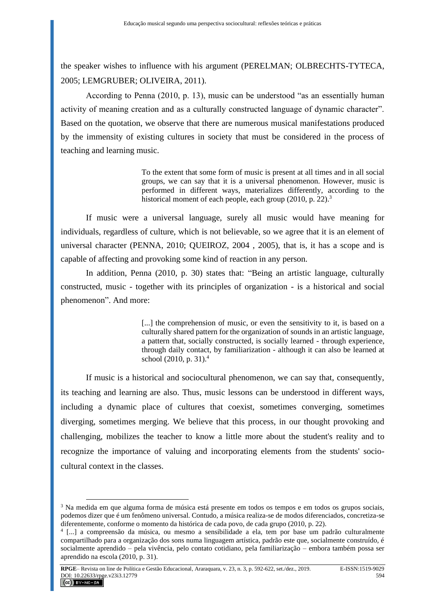the speaker wishes to influence with his argument (PERELMAN; OLBRECHTS-TYTECA, 2005; LEMGRUBER; OLIVEIRA, 2011).

According to Penna (2010, p. 13), music can be understood "as an essentially human activity of meaning creation and as a culturally constructed language of dynamic character". Based on the quotation, we observe that there are numerous musical manifestations produced by the immensity of existing cultures in society that must be considered in the process of teaching and learning music.

> To the extent that some form of music is present at all times and in all social groups, we can say that it is a universal phenomenon. However, music is performed in different ways, materializes differently, according to the historical moment of each people, each group (2010, p. 22).<sup>3</sup>

If music were a universal language, surely all music would have meaning for individuals, regardless of culture, which is not believable, so we agree that it is an element of universal character (PENNA, 2010; QUEIROZ, 2004 , 2005), that is, it has a scope and is capable of affecting and provoking some kind of reaction in any person.

In addition, Penna (2010, p. 30) states that: "Being an artistic language, culturally constructed, music - together with its principles of organization - is a historical and social phenomenon". And more:

> [...] the comprehension of music, or even the sensitivity to it, is based on a culturally shared pattern for the organization of sounds in an artistic language, a pattern that, socially constructed, is socially learned - through experience, through daily contact, by familiarization - although it can also be learned at school (2010, p. 31).<sup>4</sup>

If music is a historical and sociocultural phenomenon, we can say that, consequently, its teaching and learning are also. Thus, music lessons can be understood in different ways, including a dynamic place of cultures that coexist, sometimes converging, sometimes diverging, sometimes merging. We believe that this process, in our thought provoking and challenging, mobilizes the teacher to know a little more about the student's reality and to recognize the importance of valuing and incorporating elements from the students' sociocultural context in the classes.

<sup>3</sup> Na medida em que alguma forma de música está presente em todos os tempos e em todos os grupos sociais, podemos dizer que é um fenômeno universal. Contudo, a música realiza-se de modos diferenciados, concretiza-se diferentemente, conforme o momento da histórica de cada povo, de cada grupo (2010, p. 22).

<sup>4</sup> [...] a compreensão da música, ou mesmo a sensibilidade a ela, tem por base um padrão culturalmente compartilhado para a organização dos sons numa linguagem artística, padrão este que, socialmente construído, é socialmente aprendido – pela vivência, pelo contato cotidiano, pela familiarização – embora também possa ser aprendido na escola (2010, p. 31).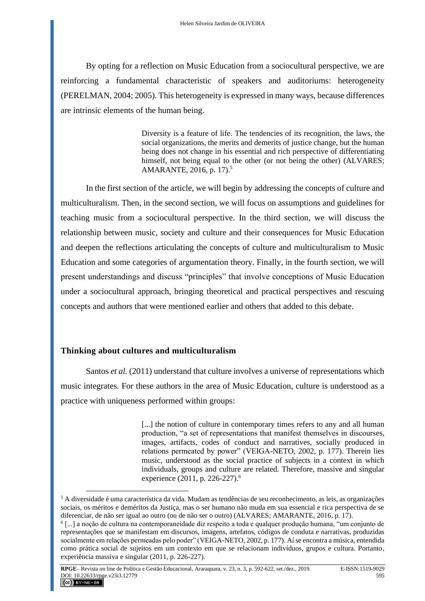By opting for a reflection on Music Education from a sociocultural perspective, we are reinforcing a fundamental characteristic of speakers and auditoriums: heterogeneity (PERELMAN, 2004; 2005). This heterogeneity is expressed in many ways, because differences are intrinsic elements of the human being.

> Diversity is a feature of life. The tendencies of its recognition, the laws, the social organizations, the merits and demerits of justice change, but the human being does not change in his essential and rich perspective of differentiating himself, not being equal to the other (or not being the other) (ALVARES; AMARANTE, 2016, p. 17).<sup>5</sup>

In the first section of the article, we will begin by addressing the concepts of culture and multiculturalism. Then, in the second section, we will focus on assumptions and guidelines for teaching music from a sociocultural perspective. In the third section, we will discuss the relationship between music, society and culture and their consequences for Music Education and deepen the reflections articulating the concepts of culture and multiculturalism to Music Education and some categories of argumentation theory. Finally, in the fourth section, we will present understandings and discuss "principles" that involve conceptions of Music Education under a sociocultural approach, bringing theoretical and practical perspectives and rescuing concepts and authors that were mentioned earlier and others that added to this debate.

## **Thinking about cultures and multiculturalism**

Santos *et al.* (2011) understand that culture involves a universe of representations which music integrates. For these authors in the area of Music Education, culture is understood as a practice with uniqueness performed within groups:

> [...] the notion of culture in contemporary times refers to any and all human production, "a set of representations that manifest themselves in discourses, images, artifacts, codes of conduct and narratives, socially produced in relations permeated by power" (VEIGA-NETO, 2002, p. 177). Therein lies music, understood as the social practice of subjects in a context in which individuals, groups and culture are related. Therefore, massive and singular experience (2011, p. 226-227).<sup>6</sup>

 $<sup>5</sup>$  A diversidade é uma característica da vida. Mudam as tendências de seu reconhecimento, as leis, as organizações</sup> sociais, os méritos e deméritos da Justiça, mas o ser humano não muda em sua essencial e rica perspectiva de se diferenciar, de não ser igual ao outro (ou de não ser o outro) (ALVARES; AMARANTE, 2016, p. 17).

<sup>6</sup> [...] a noção de cultura na contemporaneidade diz respeito a toda e qualquer produção humana, "um conjunto de representações que se manifestam em discursos, imagens, artefatos, códigos de conduta e narrativas, produzidas socialmente em relações permeadas pelo poder" (VEIGA-NETO, 2002, p. 177). Aí se encontra a música, entendida como prática social de sujeitos em um contexto em que se relacionam indivíduos, grupos e cultura. Portanto, experiência massiva e singular (2011, p. 226-227).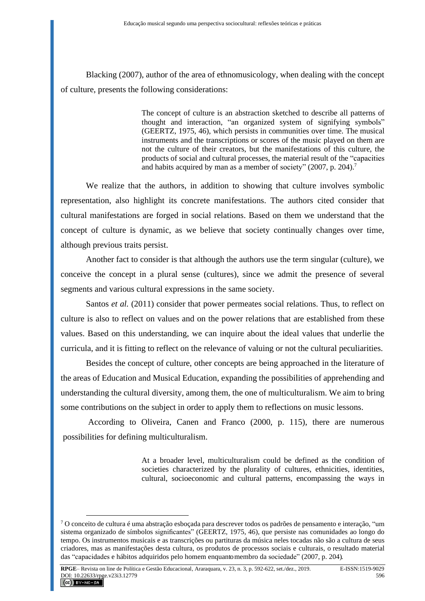Blacking (2007), author of the area of ethnomusicology, when dealing with the concept of culture, presents the following considerations:

> The concept of culture is an abstraction sketched to describe all patterns of thought and interaction, "an organized system of signifying symbols" (GEERTZ, 1975, 46), which persists in communities over time. The musical instruments and the transcriptions or scores of the music played on them are not the culture of their creators, but the manifestations of this culture, the products of social and cultural processes, the material result of the "capacities and habits acquired by man as a member of society" (2007, p. 204).<sup>7</sup>

We realize that the authors, in addition to showing that culture involves symbolic representation, also highlight its concrete manifestations. The authors cited consider that cultural manifestations are forged in social relations. Based on them we understand that the concept of culture is dynamic, as we believe that society continually changes over time, although previous traits persist.

Another fact to consider is that although the authors use the term singular (culture), we conceive the concept in a plural sense (cultures), since we admit the presence of several segments and various cultural expressions in the same society.

Santos *et al.* (2011) consider that power permeates social relations. Thus, to reflect on culture is also to reflect on values and on the power relations that are established from these values. Based on this understanding, we can inquire about the ideal values that underlie the curricula, and it is fitting to reflect on the relevance of valuing or not the cultural peculiarities.

Besides the concept of culture, other concepts are being approached in the literature of the areas of Education and Musical Education, expanding the possibilities of apprehending and understanding the cultural diversity, among them, the one of multiculturalism. We aim to bring some contributions on the subject in order to apply them to reflections on music lessons.

According to Oliveira, Canen and Franco (2000, p. 115), there are numerous possibilities for defining multiculturalism.

> At a broader level, multiculturalism could be defined as the condition of societies characterized by the plurality of cultures, ethnicities, identities, cultural, socioeconomic and cultural patterns, encompassing the ways in

 $7$  O conceito de cultura é uma abstração esboçada para descrever todos os padrões de pensamento e interação, "um sistema organizado de símbolos significantes" (GEERTZ, 1975, 46), que persiste nas comunidades ao longo do tempo. Os instrumentos musicais e as transcrições ou partituras da música neles tocadas não são a cultura de seus criadores, mas as manifestações desta cultura, os produtos de processos sociais e culturais, o resultado material das "capacidades e hábitos adquiridos pelo homem enquantomembro da sociedade" (2007, p. 204).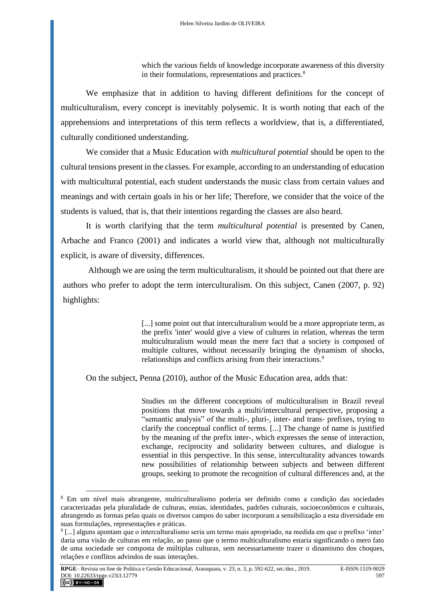which the various fields of knowledge incorporate awareness of this diversity in their formulations, representations and practices.<sup>8</sup>

We emphasize that in addition to having different definitions for the concept of multiculturalism, every concept is inevitably polysemic. It is worth noting that each of the apprehensions and interpretations of this term reflects a worldview, that is, a differentiated, culturally conditioned understanding.

We consider that a Music Education with *multicultural potential* should be open to the cultural tensions present in the classes. For example, according to an understanding of education with multicultural potential, each student understands the music class from certain values and meanings and with certain goals in his or her life; Therefore, we consider that the voice of the students is valued, that is, that their intentions regarding the classes are also heard.

It is worth clarifying that the term *multicultural potential* is presented by Canen, Arbache and Franco (2001) and indicates a world view that, although not multiculturally explicit, is aware of diversity, differences.

Although we are using the term multiculturalism, it should be pointed out that there are authors who prefer to adopt the term interculturalism. On this subject, Canen (2007, p. 92) highlights:

> [...] some point out that interculturalism would be a more appropriate term, as the prefix 'inter' would give a view of cultures in relation, whereas the term multiculturalism would mean the mere fact that a society is composed of multiple cultures, without necessarily bringing the dynamism of shocks, relationships and conflicts arising from their interactions.<sup>9</sup>

On the subject, Penna (2010), author of the Music Education area, adds that:

Studies on the different conceptions of multiculturalism in Brazil reveal positions that move towards a multi/intercultural perspective, proposing a "semantic analysis" of the multi-, pluri-, inter- and trans- prefixes, trying to clarify the conceptual conflict of terms. [...] The change of name is justified by the meaning of the prefix inter-, which expresses the sense of interaction, exchange, reciprocity and solidarity between cultures, and dialogue is essential in this perspective. In this sense, interculturality advances towards new possibilities of relationship between subjects and between different groups, seeking to promote the recognition of cultural differences and, at the

<sup>8</sup> Em um nível mais abrangente, multiculturalismo poderia ser definido como a condição das sociedades caracterizadas pela pluralidade de culturas, etnias, identidades, padrões culturais, socioeconômicos e culturais, abrangendo as formas pelas quais os diversos campos do saber incorporam a sensibilização a esta diversidade em suas formulações, representações e práticas.

<sup>9</sup> [...] alguns apontam que o interculturalismo seria um termo mais apropriado, na medida em que o prefixo 'inter' daria uma visão de culturas em relação, ao passo que o termo multiculturalismo estaria significando o mero fato de uma sociedade ser composta de múltiplas culturas, sem necessariamente trazer o dinamismo dos choques, relações e conflitos advindos de suas interações.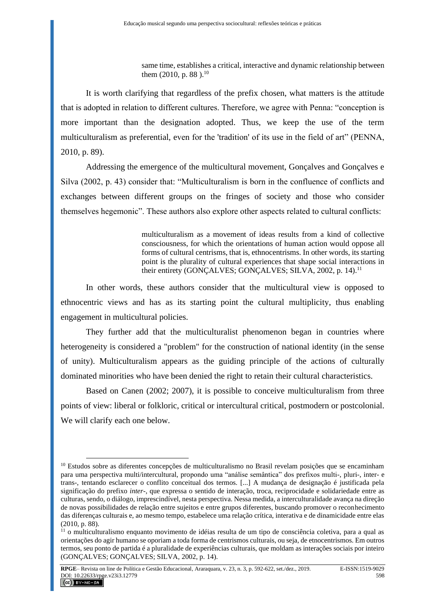same time, establishes a critical, interactive and dynamic relationship between them (2010, p. 88).<sup>10</sup>

It is worth clarifying that regardless of the prefix chosen, what matters is the attitude that is adopted in relation to different cultures. Therefore, we agree with Penna: "conception is more important than the designation adopted. Thus, we keep the use of the term multiculturalism as preferential, even for the 'tradition' of its use in the field of art" (PENNA, 2010, p. 89).

Addressing the emergence of the multicultural movement, Gonçalves and Gonçalves e Silva (2002, p. 43) consider that: "Multiculturalism is born in the confluence of conflicts and exchanges between different groups on the fringes of society and those who consider themselves hegemonic". These authors also explore other aspects related to cultural conflicts:

> multiculturalism as a movement of ideas results from a kind of collective consciousness, for which the orientations of human action would oppose all forms of cultural centrisms, that is, ethnocentrisms. In other words, its starting point is the plurality of cultural experiences that shape social interactions in their entirety (GONÇALVES; GONÇALVES; SILVA, 2002, p. 14).<sup>11</sup>

In other words, these authors consider that the multicultural view is opposed to ethnocentric views and has as its starting point the cultural multiplicity, thus enabling engagement in multicultural policies.

They further add that the multiculturalist phenomenon began in countries where heterogeneity is considered a "problem" for the construction of national identity (in the sense of unity). Multiculturalism appears as the guiding principle of the actions of culturally dominated minorities who have been denied the right to retain their cultural characteristics.

Based on Canen (2002; 2007), it is possible to conceive multiculturalism from three points of view: liberal or folkloric, critical or intercultural critical, postmodern or postcolonial. We will clarify each one below.

<sup>&</sup>lt;sup>10</sup> Estudos sobre as diferentes concepções de multiculturalismo no Brasil revelam posições que se encaminham para uma perspectiva multi/intercultural, propondo uma "análise semântica" dos prefixos multi-, pluri-, inter- e trans-, tentando esclarecer o conflito conceitual dos termos. [...] A mudança de designação é justificada pela significação do prefixo *inter*-, que expressa o sentido de interação, troca, reciprocidade e solidariedade entre as culturas, sendo, o diálogo, imprescindível, nesta perspectiva. Nessa medida, a interculturalidade avança na direção de novas possibilidades de relação entre sujeitos e entre grupos diferentes, buscando promover o reconhecimento das diferenças culturais e, ao mesmo tempo, estabelece uma relação crítica, interativa e de dinamicidade entre elas (2010, p. 88).

<sup>&</sup>lt;sup>11</sup> o multiculturalismo enquanto movimento de idéias resulta de um tipo de consciência coletiva, para a qual as orientações do agir humano se oporiam a toda forma de centrismos culturais, ou seja, de etnocentrismos. Em outros termos, seu ponto de partida é a pluralidade de experiências culturais, que moldam as interações sociais por inteiro (GONÇALVES; GONÇALVES; SILVA, 2002, p. 14).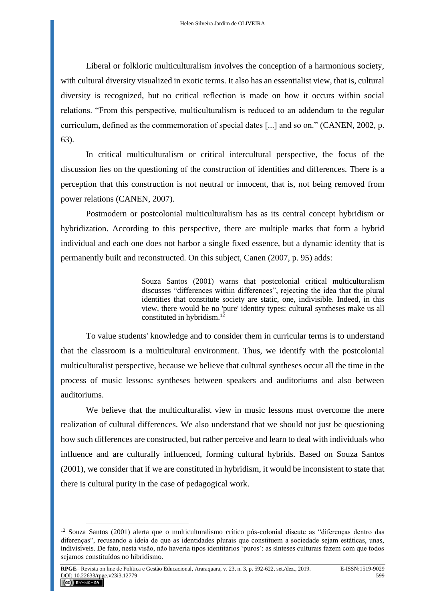Liberal or folkloric multiculturalism involves the conception of a harmonious society, with cultural diversity visualized in exotic terms. It also has an essentialist view, that is, cultural diversity is recognized, but no critical reflection is made on how it occurs within social relations. "From this perspective, multiculturalism is reduced to an addendum to the regular curriculum, defined as the commemoration of special dates [...] and so on." (CANEN, 2002, p. 63).

In critical multiculturalism or critical intercultural perspective, the focus of the discussion lies on the questioning of the construction of identities and differences. There is a perception that this construction is not neutral or innocent, that is, not being removed from power relations (CANEN, 2007).

Postmodern or postcolonial multiculturalism has as its central concept hybridism or hybridization. According to this perspective, there are multiple marks that form a hybrid individual and each one does not harbor a single fixed essence, but a dynamic identity that is permanently built and reconstructed. On this subject, Canen (2007, p. 95) adds:

> Souza Santos (2001) warns that postcolonial critical multiculturalism discusses "differences within differences", rejecting the idea that the plural identities that constitute society are static, one, indivisible. Indeed, in this view, there would be no 'pure' identity types: cultural syntheses make us all constituted in hybridism.<sup>12</sup>

To value students' knowledge and to consider them in curricular terms is to understand that the classroom is a multicultural environment. Thus, we identify with the postcolonial multiculturalist perspective, because we believe that cultural syntheses occur all the time in the process of music lessons: syntheses between speakers and auditoriums and also between auditoriums.

We believe that the multiculturalist view in music lessons must overcome the mere realization of cultural differences. We also understand that we should not just be questioning how such differences are constructed, but rather perceive and learn to deal with individuals who influence and are culturally influenced, forming cultural hybrids. Based on Souza Santos (2001), we consider that if we are constituted in hybridism, it would be inconsistent to state that there is cultural purity in the case of pedagogical work.

<sup>12</sup> Souza Santos (2001) alerta que o multiculturalismo crítico pós-colonial discute as "diferenças dentro das diferenças", recusando a ideia de que as identidades plurais que constituem a sociedade sejam estáticas, unas, indivisíveis. De fato, nesta visão, não haveria tipos identitários 'puros': as sínteses culturais fazem com que todos sejamos constituídos no hibridismo.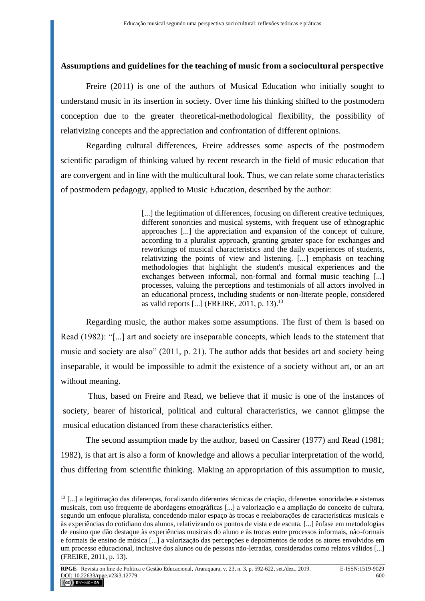### **Assumptions and guidelines for the teaching of music from a sociocultural perspective**

Freire (2011) is one of the authors of Musical Education who initially sought to understand music in its insertion in society. Over time his thinking shifted to the postmodern conception due to the greater theoretical-methodological flexibility, the possibility of relativizing concepts and the appreciation and confrontation of different opinions.

Regarding cultural differences, Freire addresses some aspects of the postmodern scientific paradigm of thinking valued by recent research in the field of music education that are convergent and in line with the multicultural look. Thus, we can relate some characteristics of postmodern pedagogy, applied to Music Education, described by the author:

> [...] the legitimation of differences, focusing on different creative techniques, different sonorities and musical systems, with frequent use of ethnographic approaches [...] the appreciation and expansion of the concept of culture, according to a pluralist approach, granting greater space for exchanges and reworkings of musical characteristics and the daily experiences of students, relativizing the points of view and listening. [...] emphasis on teaching methodologies that highlight the student's musical experiences and the exchanges between informal, non-formal and formal music teaching [...] processes, valuing the perceptions and testimonials of all actors involved in an educational process, including students or non-literate people, considered as valid reports [...] (FREIRE, 2011, p. 13).<sup>13</sup>

Regarding music, the author makes some assumptions. The first of them is based on Read (1982): "[...] art and society are inseparable concepts, which leads to the statement that music and society are also" (2011, p. 21). The author adds that besides art and society being inseparable, it would be impossible to admit the existence of a society without art, or an art without meaning.

Thus, based on Freire and Read, we believe that if music is one of the instances of society, bearer of historical, political and cultural characteristics, we cannot glimpse the musical education distanced from these characteristics either.

The second assumption made by the author, based on Cassirer (1977) and Read (1981; 1982), is that art is also a form of knowledge and allows a peculiar interpretation of the world, thus differing from scientific thinking. Making an appropriation of this assumption to music,

 $13$  [...] a legitimação das diferenças, focalizando diferentes técnicas de criação, diferentes sonoridades e sistemas musicais, com uso frequente de abordagens etnográficas [...] a valorização e a ampliação do conceito de cultura, segundo um enfoque pluralista, concedendo maior espaço às trocas e reelaborações de características musicais e às experiências do cotidiano dos alunos, relativizando os pontos de vista e de escuta. [...] ênfase em metodologias de ensino que dão destaque às experiências musicais do aluno e às trocas entre processos informais, não-formais e formais de ensino de música [...] a valorização das percepções e depoimentos de todos os atores envolvidos em um processo educacional, inclusive dos alunos ou de pessoas não-letradas, considerados como relatos válidos [...] (FREIRE, 2011, p. 13).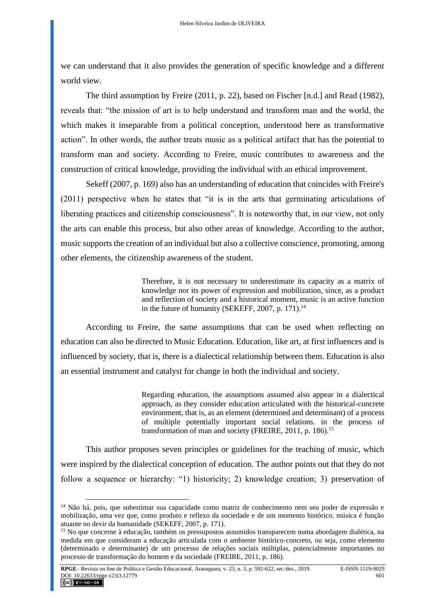we can understand that it also provides the generation of specific knowledge and a different world view.

The third assumption by Freire (2011, p. 22), based on Fischer [n.d.] and Read (1982), reveals that: "the mission of art is to help understand and transform man and the world, the which makes it inseparable from a political conception, understood here as transformative action". In other words, the author treats music as a political artifact that has the potential to transform man and society. According to Freire, music contributes to awareness and the construction of critical knowledge, providing the individual with an ethical improvement.

Sekeff (2007, p. 169) also has an understanding of education that coincides with Freire's (2011) perspective when he states that "it is in the arts that germinating articulations of liberating practices and citizenship consciousness". It is noteworthy that, in our view, not only the arts can enable this process, but also other areas of knowledge. According to the author, music supports the creation of an individual but also a collective conscience, promoting, among other elements, the citizenship awareness of the student.

> Therefore, it is not necessary to underestimate its capacity as a matrix of knowledge nor its power of expression and mobilization, since, as a product and reflection of society and a historical moment, music is an active function in the future of humanity (SEKEFF, 2007, p. 171). $14$

According to Freire, the same assumptions that can be used when reflecting on education can also be directed to Music Education. Education, like art, at first influences and is influenced by society, that is, there is a dialectical relationship between them. Education is also an essential instrument and catalyst for change in both the individual and society.

> Regarding education, the assumptions assumed also appear in a dialectical approach, as they consider education articulated with the historical-concrete environment, that is, as an element (determined and determinant) of a process of multiple potentially important social relations. in the process of transformation of man and society (FREIRE, 2011, p. 186).<sup>15</sup>

This author proposes seven principles or guidelines for the teaching of music, which were inspired by the dialectical conception of education. The author points out that they do not follow a sequence or hierarchy: "1) historicity; 2) knowledge creation; 3) preservation of

<sup>&</sup>lt;sup>14</sup> Não há, pois, que subestimar sua capacidade como matriz de conhecimento nem seu poder de expressão e mobilização, uma vez que, como produto e reflexo da sociedade e de um momento histórico, música é função atuante no devir da humanidade (SEKEFF, 2007, p. 171).

<sup>&</sup>lt;sup>15</sup> No que concerne à educação, também os pressupostos assumidos transparecem numa abordagem dialética, na medida em que consideram a educação articulada com o ambiente histórico-concreto, ou seja, como elemento (determinado e determinante) de um processo de relações sociais múltiplas, potencialmente importantes no processo de transformação do homem e da sociedade (FREIRE, 2011, p. 186).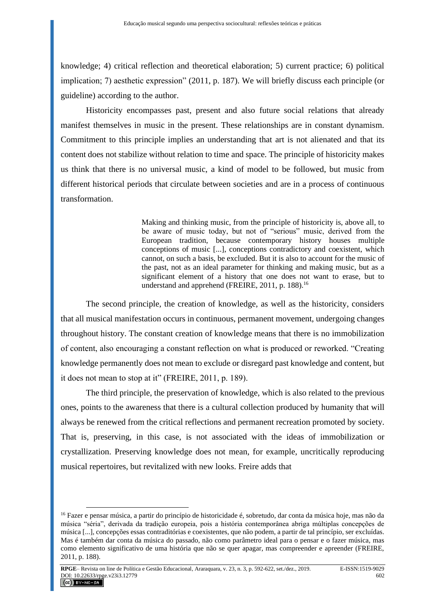knowledge; 4) critical reflection and theoretical elaboration; 5) current practice; 6) political implication; 7) aesthetic expression" (2011, p. 187). We will briefly discuss each principle (or guideline) according to the author.

Historicity encompasses past, present and also future social relations that already manifest themselves in music in the present. These relationships are in constant dynamism. Commitment to this principle implies an understanding that art is not alienated and that its content does not stabilize without relation to time and space. The principle of historicity makes us think that there is no universal music, a kind of model to be followed, but music from different historical periods that circulate between societies and are in a process of continuous transformation.

> Making and thinking music, from the principle of historicity is, above all, to be aware of music today, but not of "serious" music, derived from the European tradition, because contemporary history houses multiple conceptions of music [...], conceptions contradictory and coexistent, which cannot, on such a basis, be excluded. But it is also to account for the music of the past, not as an ideal parameter for thinking and making music, but as a significant element of a history that one does not want to erase, but to understand and apprehend (FREIRE, 2011, p. 188).<sup>16</sup>

The second principle, the creation of knowledge, as well as the historicity, considers that all musical manifestation occurs in continuous, permanent movement, undergoing changes throughout history. The constant creation of knowledge means that there is no immobilization of content, also encouraging a constant reflection on what is produced or reworked. "Creating knowledge permanently does not mean to exclude or disregard past knowledge and content, but it does not mean to stop at it" (FREIRE, 2011, p. 189).

The third principle, the preservation of knowledge, which is also related to the previous ones, points to the awareness that there is a cultural collection produced by humanity that will always be renewed from the critical reflections and permanent recreation promoted by society. That is, preserving, in this case, is not associated with the ideas of immobilization or crystallization. Preserving knowledge does not mean, for example, uncritically reproducing musical repertoires, but revitalized with new looks. Freire adds that

<sup>16</sup> Fazer e pensar música, a partir do princípio de historicidade é, sobretudo, dar conta da música hoje, mas não da música "séria", derivada da tradição europeia, pois a história contemporânea abriga múltiplas concepções de música [...], concepções essas contraditórias e coexistentes, que não podem, a partir de tal princípio, ser excluídas. Mas é também dar conta da música do passado, não como parâmetro ideal para o pensar e o fazer música, mas como elemento significativo de uma história que não se quer apagar, mas compreender e apreender (FREIRE, 2011, p. 188).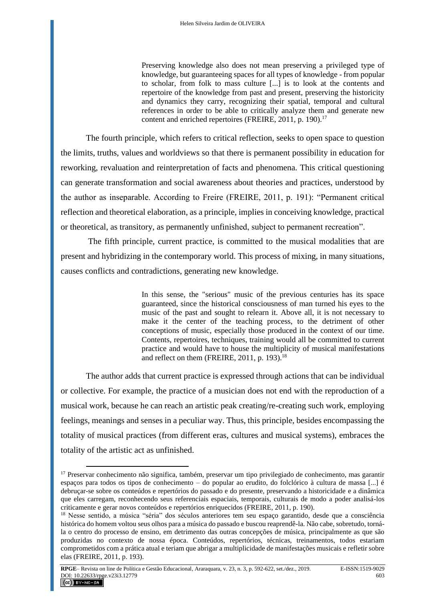Preserving knowledge also does not mean preserving a privileged type of knowledge, but guaranteeing spaces for all types of knowledge - from popular to scholar, from folk to mass culture [...] is to look at the contents and repertoire of the knowledge from past and present, preserving the historicity and dynamics they carry, recognizing their spatial, temporal and cultural references in order to be able to critically analyze them and generate new content and enriched repertoires (FREIRE, 2011, p. 190).<sup>17</sup>

The fourth principle, which refers to critical reflection, seeks to open space to question the limits, truths, values and worldviews so that there is permanent possibility in education for reworking, revaluation and reinterpretation of facts and phenomena. This critical questioning can generate transformation and social awareness about theories and practices, understood by the author as inseparable. According to Freire (FREIRE, 2011, p. 191): "Permanent critical reflection and theoretical elaboration, as a principle, implies in conceiving knowledge, practical or theoretical, as transitory, as permanently unfinished, subject to permanent recreation".

The fifth principle, current practice, is committed to the musical modalities that are present and hybridizing in the contemporary world. This process of mixing, in many situations, causes conflicts and contradictions, generating new knowledge.

> In this sense, the "serious" music of the previous centuries has its space guaranteed, since the historical consciousness of man turned his eyes to the music of the past and sought to relearn it. Above all, it is not necessary to make it the center of the teaching process, to the detriment of other conceptions of music, especially those produced in the context of our time. Contents, repertoires, techniques, training would all be committed to current practice and would have to house the multiplicity of musical manifestations and reflect on them (FREIRE, 2011, p. 193). $^{18}$

The author adds that current practice is expressed through actions that can be individual or collective. For example, the practice of a musician does not end with the reproduction of a musical work, because he can reach an artistic peak creating/re-creating such work, employing feelings, meanings and senses in a peculiar way. Thus, this principle, besides encompassing the totality of musical practices (from different eras, cultures and musical systems), embraces the totality of the artistic act as unfinished.

<sup>&</sup>lt;sup>17</sup> Preservar conhecimento não significa, também, preservar um tipo privilegiado de conhecimento, mas garantir espaços para todos os tipos de conhecimento – do popular ao erudito, do folclórico à cultura de massa [...] é debruçar-se sobre os conteúdos e repertórios do passado e do presente, preservando a historicidade e a dinâmica que eles carregam, reconhecendo seus referenciais espaciais, temporais, culturais de modo a poder analisá-los criticamente e gerar novos conteúdos e repertórios enriquecidos (FREIRE, 2011, p. 190).

<sup>&</sup>lt;sup>18</sup> Nesse sentido, a música "séria" dos séculos anteriores tem seu espaço garantido, desde que a consciência histórica do homem voltou seus olhos para a música do passado e buscou reaprendê-la. Não cabe, sobretudo, tornála o centro do processo de ensino, em detrimento das outras concepções de música, principalmente as que são produzidas no contexto de nossa época. Conteúdos, repertórios, técnicas, treinamentos, todos estariam comprometidos com a prática atual e teriam que abrigar a multiplicidade de manifestações musicais e refletir sobre elas (FREIRE, 2011, p. 193).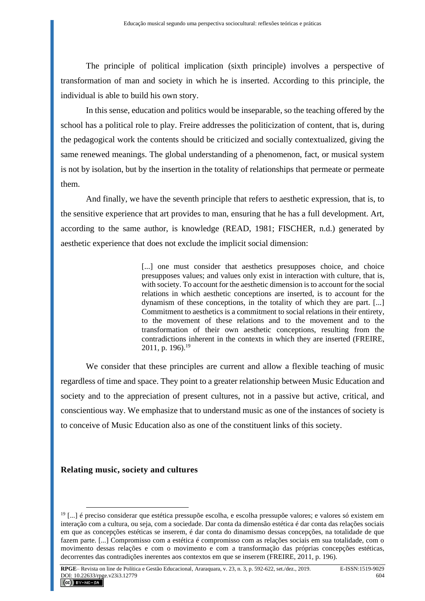The principle of political implication (sixth principle) involves a perspective of transformation of man and society in which he is inserted. According to this principle, the individual is able to build his own story.

In this sense, education and politics would be inseparable, so the teaching offered by the school has a political role to play. Freire addresses the politicization of content, that is, during the pedagogical work the contents should be criticized and socially contextualized, giving the same renewed meanings. The global understanding of a phenomenon, fact, or musical system is not by isolation, but by the insertion in the totality of relationships that permeate or permeate them.

And finally, we have the seventh principle that refers to aesthetic expression, that is, to the sensitive experience that art provides to man, ensuring that he has a full development. Art, according to the same author, is knowledge (READ, 1981; FISCHER, n.d.) generated by aesthetic experience that does not exclude the implicit social dimension:

> [...] one must consider that aesthetics presupposes choice, and choice presupposes values; and values only exist in interaction with culture, that is, with society. To account for the aesthetic dimension is to account for the social relations in which aesthetic conceptions are inserted, is to account for the dynamism of these conceptions, in the totality of which they are part. [...] Commitment to aesthetics is a commitment to social relations in their entirety, to the movement of these relations and to the movement and to the transformation of their own aesthetic conceptions, resulting from the contradictions inherent in the contexts in which they are inserted (FREIRE, 2011, p. 196).<sup>19</sup>

We consider that these principles are current and allow a flexible teaching of music regardless of time and space. They point to a greater relationship between Music Education and society and to the appreciation of present cultures, not in a passive but active, critical, and conscientious way. We emphasize that to understand music as one of the instances of society is to conceive of Music Education also as one of the constituent links of this society.

#### **Relating music, society and cultures**

 $19$  [...] é preciso considerar que estética pressupõe escolha, e escolha pressupõe valores; e valores só existem em interação com a cultura, ou seja, com a sociedade. Dar conta da dimensão estética é dar conta das relações sociais em que as concepções estéticas se inserem, é dar conta do dinamismo dessas concepções, na totalidade de que fazem parte. [...] Compromisso com a estética é compromisso com as relações sociais em sua totalidade, com o movimento dessas relações e com o movimento e com a transformação das próprias concepções estéticas, decorrentes das contradições inerentes aos contextos em que se inserem (FREIRE, 2011, p. 196).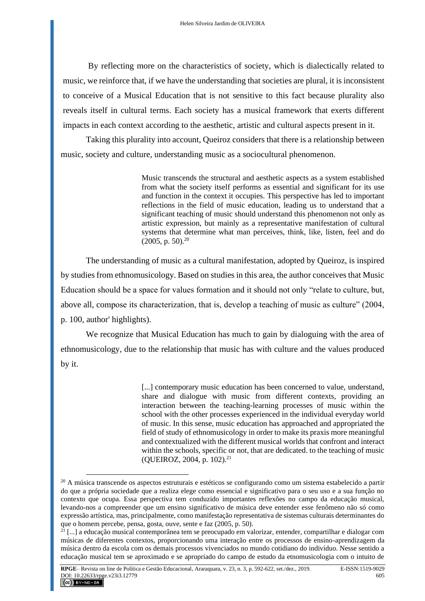By reflecting more on the characteristics of society, which is dialectically related to music, we reinforce that, if we have the understanding that societies are plural, it is inconsistent to conceive of a Musical Education that is not sensitive to this fact because plurality also reveals itself in cultural terms. Each society has a musical framework that exerts different impacts in each context according to the aesthetic, artistic and cultural aspects present in it.

Taking this plurality into account, Queiroz considers that there is a relationship between music, society and culture, understanding music as a sociocultural phenomenon.

> Music transcends the structural and aesthetic aspects as a system established from what the society itself performs as essential and significant for its use and function in the context it occupies. This perspective has led to important reflections in the field of music education, leading us to understand that a significant teaching of music should understand this phenomenon not only as artistic expression, but mainly as a representative manifestation of cultural systems that determine what man perceives, think, like, listen, feel and do  $(2005, p. 50).^{20}$

The understanding of music as a cultural manifestation, adopted by Queiroz, is inspired by studies from ethnomusicology. Based on studies in this area, the author conceives that Music Education should be a space for values formation and it should not only "relate to culture, but, above all, compose its characterization, that is, develop a teaching of music as culture" (2004, p. 100, author' highlights).

We recognize that Musical Education has much to gain by dialoguing with the area of ethnomusicology, due to the relationship that music has with culture and the values produced by it.

> [...] contemporary music education has been concerned to value, understand, share and dialogue with music from different contexts, providing an interaction between the teaching-learning processes of music within the school with the other processes experienced in the individual everyday world of music. In this sense, music education has approached and appropriated the field of study of ethnomusicology in order to make its praxis more meaningful and contextualized with the different musical worlds that confront and interact within the schools, specific or not, that are dedicated, to the teaching of music (QUEIROZ, 2004, p. 102).<sup>21</sup>

<sup>&</sup>lt;sup>20</sup> A música transcende os aspectos estruturais e estéticos se configurando como um sistema estabelecido a partir do que a própria sociedade que a realiza elege como essencial e significativo para o seu uso e a sua função no contexto que ocupa. Essa perspectiva tem conduzido importantes reflexões no campo da educação musical, levando-nos a compreender que um ensino significativo de música deve entender esse fenômeno não só como expressão artística, mas, principalmente, como manifestação representativa de sistemas culturais determinantes do que o homem percebe, pensa, gosta, ouve, sente e faz (2005, p. 50).

<sup>21</sup> [...] a educação musical contemporânea tem se preocupado em valorizar, entender, compartilhar e dialogar com músicas de diferentes contextos, proporcionando uma interação entre os processos de ensino-aprendizagem da música dentro da escola com os demais processos vivenciados no mundo cotidiano do indivíduo. Nesse sentido a educação musical tem se aproximado e se apropriado do campo de estudo da etnomusicologia com o intuito de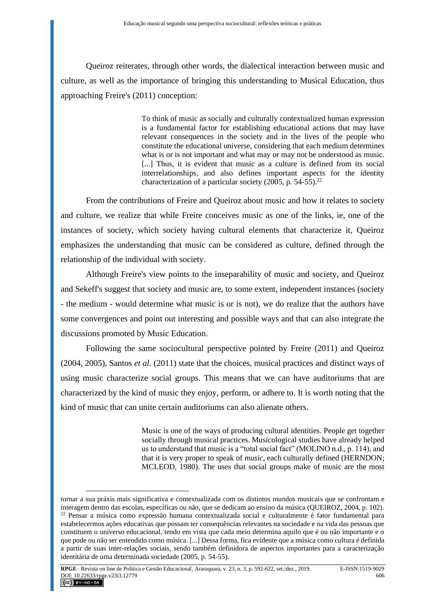Queiroz reiterates, through other words, the dialectical interaction between music and culture, as well as the importance of bringing this understanding to Musical Education, thus approaching Freire's (2011) conception:

> To think of music as socially and culturally contextualized human expression is a fundamental factor for establishing educational actions that may have relevant consequences in the society and in the lives of the people who constitute the educational universe, considering that each medium determines what is or is not important and what may or may not be understood as music. [...] Thus, it is evident that music as a culture is defined from its social interrelationships, and also defines important aspects for the identity characterization of a particular society (2005, p. 54-55).<sup>22</sup>

From the contributions of Freire and Queiroz about music and how it relates to society and culture, we realize that while Freire conceives music as one of the links, ie, one of the instances of society, which society having cultural elements that characterize it, Queiroz emphasizes the understanding that music can be considered as culture, defined through the relationship of the individual with society.

Although Freire's view points to the inseparability of music and society, and Queiroz and Sekeff's suggest that society and music are, to some extent, independent instances (society - the medium - would determine what music is or is not), we do realize that the authors have some convergences and point out interesting and possible ways and that can also integrate the discussions promoted by Music Education.

Following the same sociocultural perspective pointed by Freire (2011) and Queiroz (2004, 2005), Santos *et al.* (2011) state that the choices, musical practices and distinct ways of using music characterize social groups. This means that we can have auditoriums that are characterized by the kind of music they enjoy, perform, or adhere to. It is worth noting that the kind of music that can unite certain auditoriums can also alienate others.

> Music is one of the ways of producing cultural identities. People get together socially through musical practices. Musicological studies have already helped us to understand that music is a "total social fact" (MOLINO n.d., p. 114), and that it is very proper to speak of *music*, each culturally defined (HERNDON; MCLEOD, 1980). The uses that social groups make of music are the most

tornar a sua práxis mais significativa e contextualizada com os distintos mundos musicais que se confrontam e interagem dentro das escolas, específicas ou não, que se dedicam ao ensino da música (QUEIROZ, 2004, p. 102).  $22$  Pensar a música como expressão humana contextualizada social e culturalmente é fator fundamental para estabelecermos ações educativas que possam ter consequências relevantes na sociedade e na vida das pessoas que constituem o universo educacional, tendo em vista que cada meio determina aquilo que é ou não importante e o que pode ou não ser entendido como música. [...] Dessa forma, fica evidente que a música como cultura é definida a partir de suas inter-relações sociais, sendo também definidora de aspectos importantes para a caracterização identitária de uma determinada sociedade (2005, p. 54-55).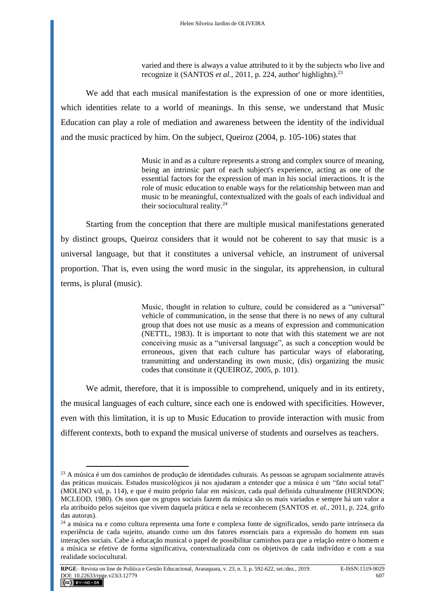varied and there is always a value attributed to it by the subjects who live and recognize it (SANTOS *et al.*, 2011, p. 224, author' highlights).<sup>23</sup>

We add that each musical manifestation is the expression of one or more identities, which identities relate to a world of meanings. In this sense, we understand that Music Education can play a role of mediation and awareness between the identity of the individual and the music practiced by him. On the subject, Queiroz (2004, p. 105-106) states that

> Music in and as a culture represents a strong and complex source of meaning, being an intrinsic part of each subject's experience, acting as one of the essential factors for the expression of man in his social interactions. It is the role of music education to enable ways for the relationship between man and music to be meaningful, contextualized with the goals of each individual and their sociocultural reality.<sup>24</sup>

Starting from the conception that there are multiple musical manifestations generated by distinct groups, Queiroz considers that it would not be coherent to say that music is a universal language, but that it constitutes a universal vehicle, an instrument of universal proportion. That is, even using the word music in the singular, its apprehension, in cultural terms, is plural (music).

> Music, thought in relation to culture, could be considered as a "universal" vehicle of communication, in the sense that there is no news of any cultural group that does not use music as a means of expression and communication (NETTL, 1983). It is important to note that with this statement we are not conceiving music as a "universal language", as such a conception would be erroneous, given that each culture has particular ways of elaborating, transmitting and understanding its own music, (dis) organizing the music codes that constitute it (QUEIROZ, 2005, p. 101).

We admit, therefore, that it is impossible to comprehend, uniquely and in its entirety, the musical languages of each culture, since each one is endowed with specificities. However, even with this limitation, it is up to Music Education to provide interaction with music from different contexts, both to expand the musical universe of students and ourselves as teachers.

<sup>&</sup>lt;sup>23</sup> A música é um dos caminhos de produção de identidades culturais. As pessoas se agrupam socialmente através das práticas musicais. Estudos musicológicos já nos ajudaram a entender que a música é um "fato social total" (MOLINO s/d, p. 114), e que é muito próprio falar em *músicas*, cada qual definida culturalmente (HERNDON; MCLEOD, 1980). Os usos que os grupos sociais fazem da música são os mais variados e sempre há um valor a ela atribuído pelos sujeitos que vivem daquela prática e nela se reconhecem (SANTOS *et. al.*, 2011, p. 224, grifo das autoras).

<sup>24</sup> a música na e como cultura representa uma forte e complexa fonte de significados, sendo parte intrínseca da experiência de cada sujeito, atuando como um dos fatores essenciais para a expressão do homem em suas interações sociais. Cabe à educação musical o papel de possibilitar caminhos para que a relação entre o homem e a música se efetive de forma significativa, contextualizada com os objetivos de cada indivíduo e com a sua realidade sociocultural.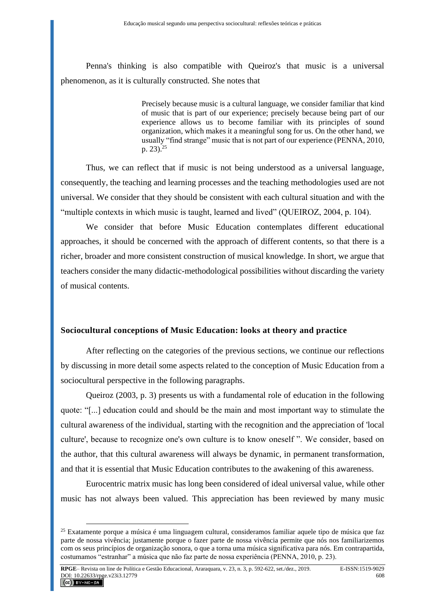Penna's thinking is also compatible with Queiroz's that music is a universal phenomenon, as it is culturally constructed. She notes that

> Precisely because music is a cultural language, we consider familiar that kind of music that is part of our experience; precisely because being part of our experience allows us to become familiar with its principles of sound organization, which makes it a meaningful song for us. On the other hand, we usually "find strange" music that is not part of our experience (PENNA, 2010, p. 23).<sup>25</sup>

Thus, we can reflect that if music is not being understood as a universal language, consequently, the teaching and learning processes and the teaching methodologies used are not universal. We consider that they should be consistent with each cultural situation and with the "multiple contexts in which music is taught, learned and lived" (QUEIROZ, 2004, p. 104).

We consider that before Music Education contemplates different educational approaches, it should be concerned with the approach of different contents, so that there is a richer, broader and more consistent construction of musical knowledge. In short, we argue that teachers consider the many didactic-methodological possibilities without discarding the variety of musical contents.

#### **Sociocultural conceptions of Music Education: looks at theory and practice**

After reflecting on the categories of the previous sections, we continue our reflections by discussing in more detail some aspects related to the conception of Music Education from a sociocultural perspective in the following paragraphs.

Queiroz (2003, p. 3) presents us with a fundamental role of education in the following quote: "[...] education could and should be the main and most important way to stimulate the cultural awareness of the individual, starting with the recognition and the appreciation of 'local culture', because to recognize one's own culture is to know oneself ". We consider, based on the author, that this cultural awareness will always be dynamic, in permanent transformation, and that it is essential that Music Education contributes to the awakening of this awareness.

Eurocentric matrix music has long been considered of ideal universal value, while other music has not always been valued. This appreciation has been reviewed by many music

<sup>25</sup> Exatamente porque a música é uma linguagem cultural, consideramos familiar aquele tipo de música que faz parte de nossa vivência; justamente porque o fazer parte de nossa vivência permite que nós nos familiarizemos com os seus princípios de organização sonora, o que a torna uma música significativa para nós. Em contrapartida, costumamos "estranhar" a música que não faz parte de nossa experiência (PENNA, 2010, p. 23).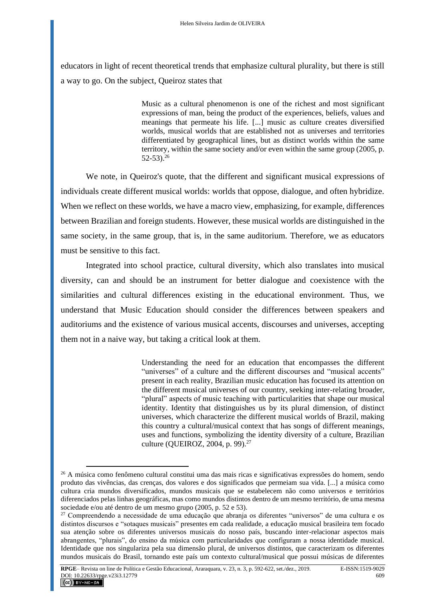educators in light of recent theoretical trends that emphasize cultural plurality, but there is still a way to go. On the subject, Queiroz states that

> Music as a cultural phenomenon is one of the richest and most significant expressions of man, being the product of the experiences, beliefs, values and meanings that permeate his life. [...] music as culture creates diversified worlds, musical worlds that are established not as universes and territories differentiated by geographical lines, but as distinct worlds within the same territory, within the same society and/or even within the same group (2005, p.  $52-53$ )<sup>26</sup>

We note, in Queiroz's quote, that the different and significant musical expressions of individuals create different musical worlds: worlds that oppose, dialogue, and often hybridize. When we reflect on these worlds, we have a macro view, emphasizing, for example, differences between Brazilian and foreign students. However, these musical worlds are distinguished in the same society, in the same group, that is, in the same auditorium. Therefore, we as educators must be sensitive to this fact.

Integrated into school practice, cultural diversity, which also translates into musical diversity, can and should be an instrument for better dialogue and coexistence with the similarities and cultural differences existing in the educational environment. Thus, we understand that Music Education should consider the differences between speakers and auditoriums and the existence of various musical accents, discourses and universes, accepting them not in a naive way, but taking a critical look at them.

> Understanding the need for an education that encompasses the different "universes" of a culture and the different discourses and "musical accents" present in each reality, Brazilian music education has focused its attention on the different musical universes of our country, seeking inter-relating broader, "plural" aspects of music teaching with particularities that shape our musical identity. Identity that distinguishes us by its plural dimension, of distinct universes, which characterize the different musical worlds of Brazil, making this country a cultural/musical context that has songs of different meanings, uses and functions, symbolizing the identity diversity of a culture, Brazilian culture (QUEIROZ, 2004, p. 99).<sup>27</sup>

<sup>&</sup>lt;sup>26</sup> A música como fenômeno cultural constitui uma das mais ricas e significativas expressões do homem, sendo produto das vivências, das crenças, dos valores e dos significados que permeiam sua vida. [...] a música como cultura cria mundos diversificados, mundos musicais que se estabelecem não como universos e territórios diferenciados pelas linhas geográficas, mas como mundos distintos dentro de um mesmo território, de uma mesma sociedade e/ou até dentro de um mesmo grupo (2005, p. 52 e 53).

<sup>27</sup> Compreendendo a necessidade de uma educação que abranja os diferentes "universos" de uma cultura e os distintos discursos e "sotaques musicais" presentes em cada realidade, a educação musical brasileira tem focado sua atenção sobre os diferentes universos musicais do nosso país, buscando inter-relacionar aspectos mais abrangentes, "plurais", do ensino da música com particularidades que configuram a nossa identidade musical. Identidade que nos singulariza pela sua dimensão plural, de universos distintos, que caracterizam os diferentes mundos musicais do Brasil, tornando este país um contexto cultural/musical que possui músicas de diferentes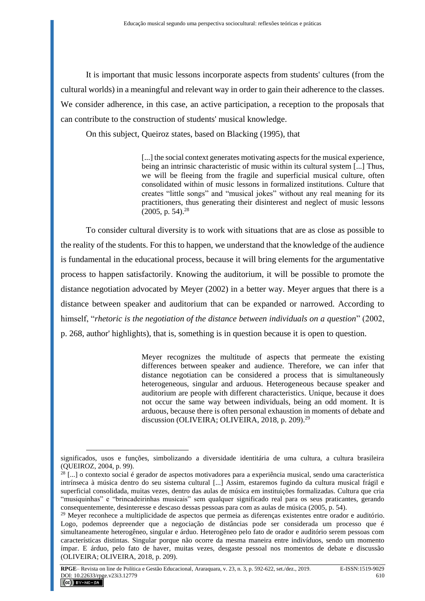It is important that music lessons incorporate aspects from students' cultures (from the cultural worlds) in a meaningful and relevant way in order to gain their adherence to the classes. We consider adherence, in this case, an active participation, a reception to the proposals that can contribute to the construction of students' musical knowledge.

On this subject, Queiroz states, based on Blacking (1995), that

[...] the social context generates motivating aspects for the musical experience, being an intrinsic characteristic of music within its cultural system [...] Thus, we will be fleeing from the fragile and superficial musical culture, often consolidated within of music lessons in formalized institutions. Culture that creates "little songs" and "musical jokes" without any real meaning for its practitioners, thus generating their disinterest and neglect of music lessons  $(2005, p. 54).^{28}$ 

To consider cultural diversity is to work with situations that are as close as possible to the reality of the students. For this to happen, we understand that the knowledge of the audience is fundamental in the educational process, because it will bring elements for the argumentative process to happen satisfactorily. Knowing the auditorium, it will be possible to promote the distance negotiation advocated by Meyer (2002) in a better way. Meyer argues that there is a distance between speaker and auditorium that can be expanded or narrowed. According to himself, "*rhetoric is the negotiation of the distance between individuals on a question*" (2002, p. 268, author' highlights), that is, something is in question because it is open to question.

> Meyer recognizes the multitude of aspects that permeate the existing differences between speaker and audience. Therefore, we can infer that distance negotiation can be considered a process that is simultaneously heterogeneous, singular and arduous. Heterogeneous because speaker and auditorium are people with different characteristics. Unique, because it does not occur the same way between individuals, being an odd moment. It is arduous, because there is often personal exhaustion in moments of debate and discussion (OLIVEIRA; OLIVEIRA, 2018, p. 209).<sup>29</sup>

significados, usos e funções, simbolizando a diversidade identitária de uma cultura, a cultura brasileira (QUEIROZ, 2004, p. 99).

 $^{28}$  [...] o contexto social é gerador de aspectos motivadores para a experiência musical, sendo uma característica intrínseca à música dentro do seu sistema cultural [...] Assim, estaremos fugindo da cultura musical frágil e superficial consolidada, muitas vezes, dentro das aulas de música em instituições formalizadas. Cultura que cria "musiquinhas" e "brincadeirinhas musicais" sem qualquer significado real para os seus praticantes, gerando consequentemente, desinteresse e descaso dessas pessoas para com as aulas de música (2005, p. 54).

<sup>&</sup>lt;sup>29</sup> Meyer reconhece a multiplicidade de aspectos que permeia as diferenças existentes entre orador e auditório. Logo, podemos depreender que a negociação de distâncias pode ser considerada um processo que é simultaneamente heterogêneo, singular e árduo. Heterogêneo pelo fato de orador e auditório serem pessoas com características distintas. Singular porque não ocorre da mesma maneira entre indivíduos, sendo um momento ímpar. E árduo, pelo fato de haver, muitas vezes, desgaste pessoal nos momentos de debate e discussão (OLIVEIRA; OLIVEIRA, 2018, p. 209).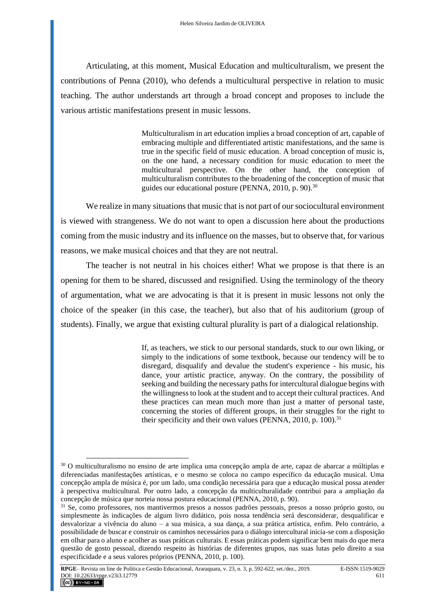Articulating, at this moment, Musical Education and multiculturalism, we present the contributions of Penna (2010), who defends a multicultural perspective in relation to music teaching. The author understands art through a broad concept and proposes to include the various artistic manifestations present in music lessons.

> Multiculturalism in art education implies a broad conception of art, capable of embracing multiple and differentiated artistic manifestations, and the same is true in the specific field of music education. A broad conception of music is, on the one hand, a necessary condition for music education to meet the multicultural perspective. On the other hand, the conception of multiculturalism contributes to the broadening of the conception of music that guides our educational posture (PENNA, 2010, p. 90).<sup>30</sup>

We realize in many situations that music that is not part of our sociocultural environment is viewed with strangeness. We do not want to open a discussion here about the productions coming from the music industry and its influence on the masses, but to observe that, for various reasons, we make musical choices and that they are not neutral.

The teacher is not neutral in his choices either! What we propose is that there is an opening for them to be shared, discussed and resignified. Using the terminology of the theory of argumentation, what we are advocating is that it is present in music lessons not only the choice of the speaker (in this case, the teacher), but also that of his auditorium (group of students). Finally, we argue that existing cultural plurality is part of a dialogical relationship.

> If, as teachers, we stick to our personal standards, stuck to our own liking, or simply to the indications of some textbook, because our tendency will be to disregard, disqualify and devalue the student's experience - his music, his dance, your artistic practice, anyway. On the contrary, the possibility of seeking and building the necessary paths for intercultural dialogue begins with the willingness to look at the student and to accept their cultural practices. And these practices can mean much more than just a matter of personal taste, concerning the stories of different groups, in their struggles for the right to their specificity and their own values (PENNA,  $2010$ , p.  $100$ ).<sup>31</sup>

<sup>&</sup>lt;sup>30</sup> O multiculturalismo no ensino de arte implica uma concepção ampla de arte, capaz de abarcar a múltiplas e diferenciadas manifestações artísticas, e o mesmo se coloca no campo específico da educação musical. Uma concepção ampla de música é, por um lado, uma condição necessária para que a educação musical possa atender à perspectiva multicultural. Por outro lado, a concepção da multiculturalidade contribui para a ampliação da concepção de música que norteia nossa postura educacional (PENNA, 2010, p. 90).

<sup>31</sup> Se, como professores, nos mantivermos presos a nossos padrões pessoais, presos a nosso próprio gosto, ou simplesmente às indicações de algum livro didático, pois nossa tendência será desconsiderar, desqualificar e desvalorizar a vivência do aluno – a sua música, a sua dança, a sua prática artística, enfim. Pelo contrário, a possibilidade de buscar e construir os caminhos necessários para o diálogo intercultural inicia-se com a disposição em olhar para o aluno e acolher as suas práticas culturais. E essas práticas podem significar bem mais do que mera questão de gosto pessoal, dizendo respeito às histórias de diferentes grupos, nas suas lutas pelo direito a sua especificidade e a seus valores próprios (PENNA, 2010, p. 100).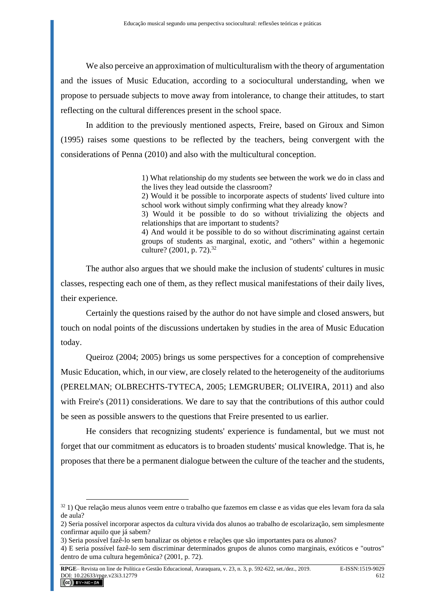We also perceive an approximation of multiculturalism with the theory of argumentation and the issues of Music Education, according to a sociocultural understanding, when we propose to persuade subjects to move away from intolerance, to change their attitudes, to start reflecting on the cultural differences present in the school space.

In addition to the previously mentioned aspects, Freire, based on Giroux and Simon (1995) raises some questions to be reflected by the teachers, being convergent with the considerations of Penna (2010) and also with the multicultural conception.

> 1) What relationship do my students see between the work we do in class and the lives they lead outside the classroom?

> 2) Would it be possible to incorporate aspects of students' lived culture into school work without simply confirming what they already know?

> 3) Would it be possible to do so without trivializing the objects and relationships that are important to students?

> 4) And would it be possible to do so without discriminating against certain groups of students as marginal, exotic, and "others" within a hegemonic culture? (2001, p. 72).<sup>32</sup>

The author also argues that we should make the inclusion of students' cultures in music classes, respecting each one of them, as they reflect musical manifestations of their daily lives, their experience.

Certainly the questions raised by the author do not have simple and closed answers, but touch on nodal points of the discussions undertaken by studies in the area of Music Education today.

Queiroz (2004; 2005) brings us some perspectives for a conception of comprehensive Music Education, which, in our view, are closely related to the heterogeneity of the auditoriums (PERELMAN; OLBRECHTS-TYTECA, 2005; LEMGRUBER; OLIVEIRA, 2011) and also with Freire's (2011) considerations. We dare to say that the contributions of this author could be seen as possible answers to the questions that Freire presented to us earlier.

He considers that recognizing students' experience is fundamental, but we must not forget that our commitment as educators is to broaden students' musical knowledge. That is, he proposes that there be a permanent dialogue between the culture of the teacher and the students,

 $32$  1) Que relação meus alunos veem entre o trabalho que fazemos em classe e as vidas que eles levam fora da sala de aula?

<sup>2)</sup> Seria possível incorporar aspectos da cultura vivida dos alunos ao trabalho de escolarização, sem simplesmente confirmar aquilo que já sabem?

<sup>3)</sup> Seria possível fazê-lo sem banalizar os objetos e relações que são importantes para os alunos?

<sup>4)</sup> E seria possível fazê-lo sem discriminar determinados grupos de alunos como marginais, exóticos e "outros" dentro de uma cultura hegemônica? (2001, p. 72).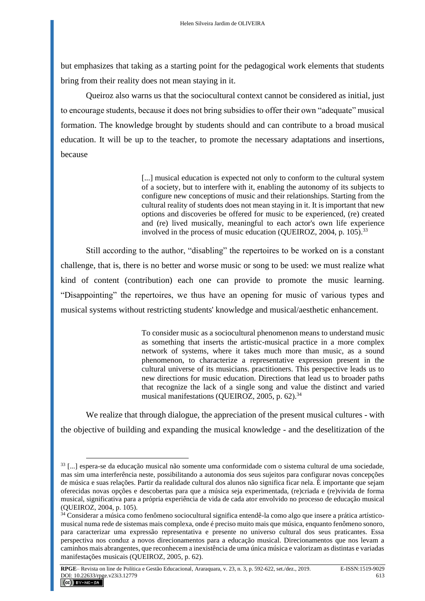but emphasizes that taking as a starting point for the pedagogical work elements that students bring from their reality does not mean staying in it.

Queiroz also warns us that the sociocultural context cannot be considered as initial, just to encourage students, because it does not bring subsidies to offer their own "adequate" musical formation. The knowledge brought by students should and can contribute to a broad musical education. It will be up to the teacher, to promote the necessary adaptations and insertions, because

> [...] musical education is expected not only to conform to the cultural system of a society, but to interfere with it, enabling the autonomy of its subjects to configure new conceptions of music and their relationships. Starting from the cultural reality of students does not mean staying in it. It is important that new options and discoveries be offered for music to be experienced, (re) created and (re) lived musically, meaningful to each actor's own life experience involved in the process of music education (OUEIROZ, 2004, p.  $105$ )<sup>33</sup>

Still according to the author, "disabling" the repertoires to be worked on is a constant challenge, that is, there is no better and worse music or song to be used: we must realize what kind of content (contribution) each one can provide to promote the music learning. "Disappointing" the repertoires, we thus have an opening for music of various types and musical systems without restricting students' knowledge and musical/aesthetic enhancement.

> To consider music as a sociocultural phenomenon means to understand music as something that inserts the artistic-musical practice in a more complex network of systems, where it takes much more than music, as a sound phenomenon, to characterize a representative expression present in the cultural universe of its musicians. practitioners. This perspective leads us to new directions for music education. Directions that lead us to broader paths that recognize the lack of a single song and value the distinct and varied musical manifestations (QUEIROZ, 2005, p. 62).<sup>34</sup>

We realize that through dialogue, the appreciation of the present musical cultures - with the objective of building and expanding the musical knowledge - and the deselitization of the

<sup>33</sup> [...] espera-se da educação musical não somente uma conformidade com o sistema cultural de uma sociedade, mas sim uma interferência neste, possibilitando a autonomia dos seus sujeitos para configurar novas concepções de música e suas relações. Partir da realidade cultural dos alunos não significa ficar nela. É importante que sejam oferecidas novas opções e descobertas para que a música seja experimentada, (re)criada e (re)vivida de forma musical, significativa para a própria experiência de vida de cada ator envolvido no processo de educação musical (QUEIROZ, 2004, p. 105).

<sup>&</sup>lt;sup>34</sup> Considerar a música como fenômeno sociocultural significa entendê-la como algo que insere a prática artísticomusical numa rede de sistemas mais complexa, onde é preciso muito mais que música, enquanto fenômeno sonoro, para caracterizar uma expressão representativa e presente no universo cultural dos seus praticantes. Essa perspectiva nos conduz a novos direcionamentos para a educação musical. Direcionamentos que nos levam a caminhos mais abrangentes, que reconhecem a inexistência de uma única música e valorizam as distintas e variadas manifestações musicais (QUEIROZ, 2005, p. 62).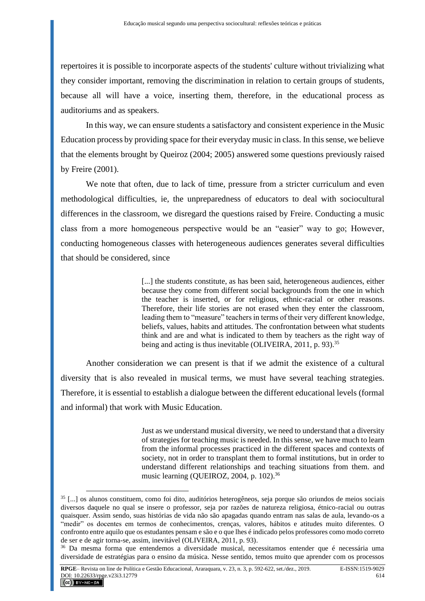repertoires it is possible to incorporate aspects of the students' culture without trivializing what they consider important, removing the discrimination in relation to certain groups of students, because all will have a voice, inserting them, therefore, in the educational process as auditoriums and as speakers.

In this way, we can ensure students a satisfactory and consistent experience in the Music Education process by providing space for their everyday music in class. In this sense, we believe that the elements brought by Queiroz (2004; 2005) answered some questions previously raised by Freire (2001).

We note that often, due to lack of time, pressure from a stricter curriculum and even methodological difficulties, ie, the unpreparedness of educators to deal with sociocultural differences in the classroom, we disregard the questions raised by Freire. Conducting a music class from a more homogeneous perspective would be an "easier" way to go; However, conducting homogeneous classes with heterogeneous audiences generates several difficulties that should be considered, since

> [...] the students constitute, as has been said, heterogeneous audiences, either because they come from different social backgrounds from the one in which the teacher is inserted, or for religious, ethnic-racial or other reasons. Therefore, their life stories are not erased when they enter the classroom, leading them to "measure" teachers in terms of their very different knowledge, beliefs, values, habits and attitudes. The confrontation between what students think and are and what is indicated to them by teachers as the right way of being and acting is thus inevitable (OLIVEIRA, 2011, p. 93).<sup>35</sup>

Another consideration we can present is that if we admit the existence of a cultural diversity that is also revealed in musical terms, we must have several teaching strategies. Therefore, it is essential to establish a dialogue between the different educational levels (formal and informal) that work with Music Education.

> Just as we understand musical diversity, we need to understand that a diversity of strategies for teaching music is needed. In this sense, we have much to learn from the informal processes practiced in the different spaces and contexts of society, not in order to transplant them to formal institutions, but in order to understand different relationships and teaching situations from them. and music learning (QUEIROZ, 2004, p. 102).<sup>36</sup>

<sup>35</sup> [...] os alunos constituem, como foi dito, auditórios heterogêneos, seja porque são oriundos de meios sociais diversos daquele no qual se insere o professor, seja por razões de natureza religiosa, étnico-racial ou outras quaisquer. Assim sendo, suas histórias de vida não são apagadas quando entram nas salas de aula, levando-os a "medir" os docentes em termos de conhecimentos, crenças, valores, hábitos e atitudes muito diferentes. O confronto entre aquilo que os estudantes pensam e são e o que lhes é indicado pelos professores como modo correto de ser e de agir torna-se, assim, inevitável (OLIVEIRA, 2011, p. 93).

<sup>36</sup> Da mesma forma que entendemos a diversidade musical, necessitamos entender que é necessária uma diversidade de estratégias para o ensino da música. Nesse sentido, temos muito que aprender com os processos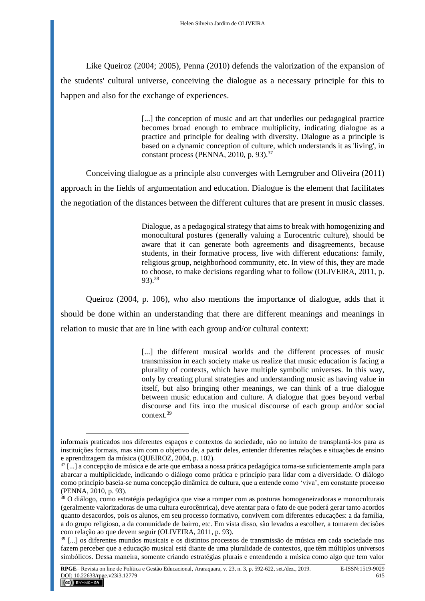Like Queiroz (2004; 2005), Penna (2010) defends the valorization of the expansion of the students' cultural universe, conceiving the dialogue as a necessary principle for this to happen and also for the exchange of experiences.

> [...] the conception of music and art that underlies our pedagogical practice becomes broad enough to embrace multiplicity, indicating dialogue as a practice and principle for dealing with diversity. Dialogue as a principle is based on a dynamic conception of culture, which understands it as 'living', in constant process (PENNA,  $2010$ , p. 93).<sup>37</sup>

Conceiving dialogue as a principle also converges with Lemgruber and Oliveira (2011) approach in the fields of argumentation and education. Dialogue is the element that facilitates the negotiation of the distances between the different cultures that are present in music classes.

> Dialogue, as a pedagogical strategy that aims to break with homogenizing and monocultural postures (generally valuing a Eurocentric culture), should be aware that it can generate both agreements and disagreements, because students, in their formative process, live with different educations: family, religious group, neighborhood community, etc. In view of this, they are made to choose, to make decisions regarding what to follow (OLIVEIRA, 2011, p. 93).<sup>38</sup>

Queiroz (2004, p. 106), who also mentions the importance of dialogue, adds that it should be done within an understanding that there are different meanings and meanings in relation to music that are in line with each group and/or cultural context:

> [...] the different musical worlds and the different processes of music transmission in each society make us realize that music education is facing a plurality of contexts, which have multiple symbolic universes. In this way, only by creating plural strategies and understanding music as having value in itself, but also bringing other meanings, we can think of a true dialogue between music education and culture. A dialogue that goes beyond verbal discourse and fits into the musical discourse of each group and/or social context.<sup>39</sup>

informais praticados nos diferentes espaços e contextos da sociedade, não no intuito de transplantá-los para as instituições formais, mas sim com o objetivo de, a partir deles, entender diferentes relações e situações de ensino e aprendizagem da música (QUEIROZ, 2004, p. 102).

 $37$ [...] a concepção de música e de arte que embasa a nossa prática pedagógica torna-se suficientemente ampla para abarcar a multiplicidade, indicando o diálogo como prática e princípio para lidar com a diversidade. O diálogo como princípio baseia-se numa concepção dinâmica de cultura, que a entende como 'viva', em constante processo (PENNA, 2010, p. 93).

<sup>38</sup> O diálogo, como estratégia pedagógica que vise a romper com as posturas homogeneizadoras e monoculturais (geralmente valorizadoras de uma cultura eurocêntrica), deve atentar para o fato de que poderá gerar tanto acordos quanto desacordos, pois os alunos, em seu processo formativo, convivem com diferentes educações: a da família, a do grupo religioso, a da comunidade de bairro, etc. Em vista disso, são levados a escolher, a tomarem decisões com relação ao que devem seguir (OLIVEIRA, 2011, p. 93).

<sup>39</sup> [...] os diferentes mundos musicais e os distintos processos de transmissão de música em cada sociedade nos fazem perceber que a educação musical está diante de uma pluralidade de contextos, que têm múltiplos universos simbólicos. Dessa maneira, somente criando estratégias plurais e entendendo a música como algo que tem valor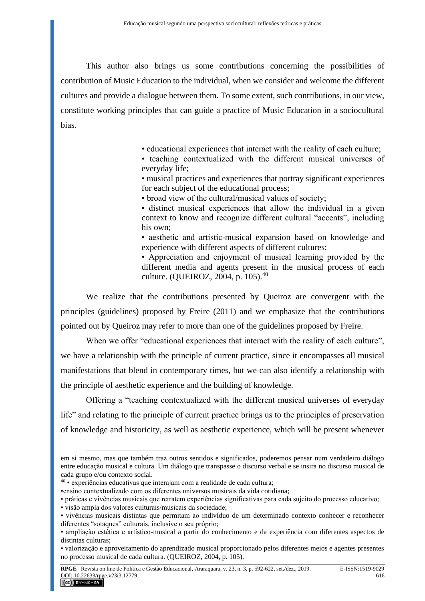This author also brings us some contributions concerning the possibilities of contribution of Music Education to the individual, when we consider and welcome the different cultures and provide a dialogue between them. To some extent, such contributions, in our view, constitute working principles that can guide a practice of Music Education in a sociocultural bias.

• educational experiences that interact with the reality of each culture;

• teaching contextualized with the different musical universes of everyday life;

• musical practices and experiences that portray significant experiences for each subject of the educational process;

• broad view of the cultural/musical values of society;

• distinct musical experiences that allow the individual in a given context to know and recognize different cultural "accents", including his own;

• aesthetic and artistic-musical expansion based on knowledge and experience with different aspects of different cultures;

• Appreciation and enjoyment of musical learning provided by the different media and agents present in the musical process of each culture. (QUEIROZ, 2004, p. 105).<sup>40</sup>

We realize that the contributions presented by Queiroz are convergent with the principles (guidelines) proposed by Freire (2011) and we emphasize that the contributions pointed out by Queiroz may refer to more than one of the guidelines proposed by Freire.

When we offer "educational experiences that interact with the reality of each culture", we have a relationship with the principle of current practice, since it encompasses all musical manifestations that blend in contemporary times, but we can also identify a relationship with the principle of aesthetic experience and the building of knowledge.

Offering a "teaching contextualized with the different musical universes of everyday life" and relating to the principle of current practice brings us to the principles of preservation of knowledge and historicity, as well as aesthetic experience, which will be present whenever

em si mesmo, mas que também traz outros sentidos e significados, poderemos pensar num verdadeiro diálogo entre educação musical e cultura. Um diálogo que transpasse o discurso verbal e se insira no discurso musical de cada grupo e/ou contexto social.

<sup>40</sup> • experiências educativas que interajam com a realidade de cada cultura;

<sup>•</sup>ensino contextualizado com os diferentes universos musicais da vida cotidiana;

<sup>•</sup> práticas e vivências musicais que retratem experiências significativas para cada sujeito do processo educativo;

<sup>•</sup> visão ampla dos valores culturais/musicais da sociedade;

<sup>•</sup> vivências musicais distintas que permitam ao indivíduo de um determinado contexto conhecer e reconhecer diferentes "sotaques" culturais, inclusive o seu próprio;

<sup>•</sup> ampliação estética e artístico-musical a partir do conhecimento e da experiência com diferentes aspectos de distintas culturas;

<sup>•</sup> valorização e aproveitamento do aprendizado musical proporcionado pelos diferentes meios e agentes presentes no processo musical de cada cultura. (QUEIROZ, 2004, p. 105).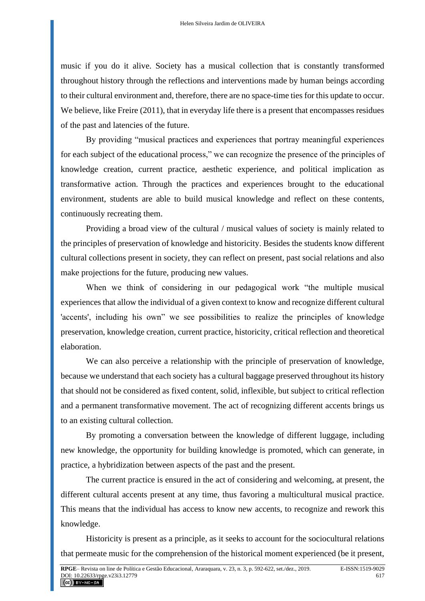music if you do it alive. Society has a musical collection that is constantly transformed throughout history through the reflections and interventions made by human beings according to their cultural environment and, therefore, there are no space-time ties for this update to occur. We believe, like Freire (2011), that in everyday life there is a present that encompasses residues of the past and latencies of the future.

By providing "musical practices and experiences that portray meaningful experiences for each subject of the educational process," we can recognize the presence of the principles of knowledge creation, current practice, aesthetic experience, and political implication as transformative action. Through the practices and experiences brought to the educational environment, students are able to build musical knowledge and reflect on these contents, continuously recreating them.

Providing a broad view of the cultural / musical values of society is mainly related to the principles of preservation of knowledge and historicity. Besides the students know different cultural collections present in society, they can reflect on present, past social relations and also make projections for the future, producing new values.

When we think of considering in our pedagogical work "the multiple musical experiences that allow the individual of a given context to know and recognize different cultural 'accents', including his own" we see possibilities to realize the principles of knowledge preservation, knowledge creation, current practice, historicity, critical reflection and theoretical elaboration.

We can also perceive a relationship with the principle of preservation of knowledge, because we understand that each society has a cultural baggage preserved throughout its history that should not be considered as fixed content, solid, inflexible, but subject to critical reflection and a permanent transformative movement. The act of recognizing different accents brings us to an existing cultural collection.

By promoting a conversation between the knowledge of different luggage, including new knowledge, the opportunity for building knowledge is promoted, which can generate, in practice, a hybridization between aspects of the past and the present.

The current practice is ensured in the act of considering and welcoming, at present, the different cultural accents present at any time, thus favoring a multicultural musical practice. This means that the individual has access to know new accents, to recognize and rework this knowledge.

Historicity is present as a principle, as it seeks to account for the sociocultural relations that permeate music for the comprehension of the historical moment experienced (be it present,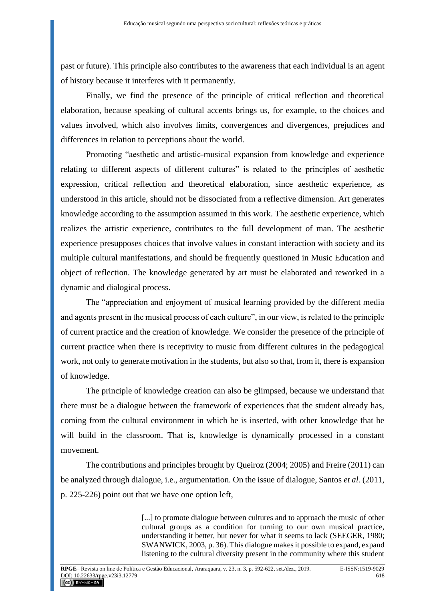past or future). This principle also contributes to the awareness that each individual is an agent of history because it interferes with it permanently.

Finally, we find the presence of the principle of critical reflection and theoretical elaboration, because speaking of cultural accents brings us, for example, to the choices and values involved, which also involves limits, convergences and divergences, prejudices and differences in relation to perceptions about the world.

Promoting "aesthetic and artistic-musical expansion from knowledge and experience relating to different aspects of different cultures" is related to the principles of aesthetic expression, critical reflection and theoretical elaboration, since aesthetic experience, as understood in this article, should not be dissociated from a reflective dimension. Art generates knowledge according to the assumption assumed in this work. The aesthetic experience, which realizes the artistic experience, contributes to the full development of man. The aesthetic experience presupposes choices that involve values in constant interaction with society and its multiple cultural manifestations, and should be frequently questioned in Music Education and object of reflection. The knowledge generated by art must be elaborated and reworked in a dynamic and dialogical process.

The "appreciation and enjoyment of musical learning provided by the different media and agents present in the musical process of each culture", in our view, is related to the principle of current practice and the creation of knowledge. We consider the presence of the principle of current practice when there is receptivity to music from different cultures in the pedagogical work, not only to generate motivation in the students, but also so that, from it, there is expansion of knowledge.

The principle of knowledge creation can also be glimpsed, because we understand that there must be a dialogue between the framework of experiences that the student already has, coming from the cultural environment in which he is inserted, with other knowledge that he will build in the classroom. That is, knowledge is dynamically processed in a constant movement.

The contributions and principles brought by Queiroz (2004; 2005) and Freire (2011) can be analyzed through dialogue, i.e., argumentation. On the issue of dialogue, Santos *et al.* (2011, p. 225-226) point out that we have one option left,

> [...] to promote dialogue between cultures and to approach the music of other cultural groups as a condition for turning to our own musical practice, understanding it better, but never for what it seems to lack (SEEGER, 1980; SWANWICK, 2003, p. 36). This dialogue makes it possible to expand, expand listening to the cultural diversity present in the community where this student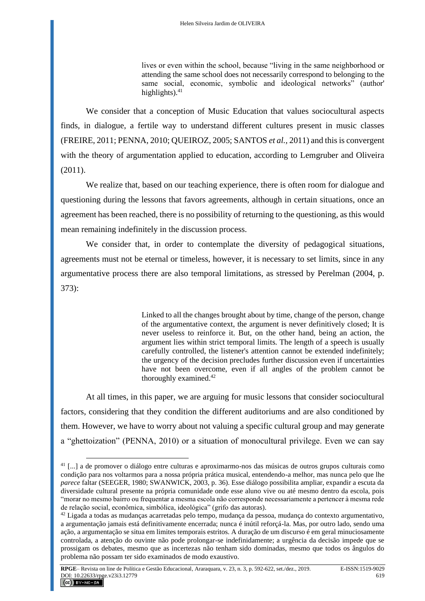lives or even within the school, because "living in the same neighborhood or attending the same school does not necessarily correspond to belonging to the same social, economic, symbolic and ideological networks" (author' highlights). $41$ 

We consider that a conception of Music Education that values sociocultural aspects finds, in dialogue, a fertile way to understand different cultures present in music classes (FREIRE, 2011; PENNA, 2010; QUEIROZ, 2005; SANTOS *et al.,* 2011) and this is convergent with the theory of argumentation applied to education, according to Lemgruber and Oliveira (2011).

We realize that, based on our teaching experience, there is often room for dialogue and questioning during the lessons that favors agreements, although in certain situations, once an agreement has been reached, there is no possibility of returning to the questioning, as this would mean remaining indefinitely in the discussion process.

We consider that, in order to contemplate the diversity of pedagogical situations, agreements must not be eternal or timeless, however, it is necessary to set limits, since in any argumentative process there are also temporal limitations, as stressed by Perelman (2004, p. 373):

> Linked to all the changes brought about by time, change of the person, change of the argumentative context, the argument is never definitively closed; It is never useless to reinforce it. But, on the other hand, being an action, the argument lies within strict temporal limits. The length of a speech is usually carefully controlled, the listener's attention cannot be extended indefinitely; the urgency of the decision precludes further discussion even if uncertainties have not been overcome, even if all angles of the problem cannot be thoroughly examined.<sup>42</sup>

At all times, in this paper, we are arguing for music lessons that consider sociocultural factors, considering that they condition the different auditoriums and are also conditioned by them. However, we have to worry about not valuing a specific cultural group and may generate a "ghettoization" (PENNA, 2010) or a situation of monocultural privilege. Even we can say

<sup>41</sup> [...] a de promover o diálogo entre culturas e aproximarmo-nos das músicas de outros grupos culturais como condição para nos voltarmos para a nossa própria prática musical, entendendo-a melhor, mas nunca pelo que lhe *parece* faltar (SEEGER, 1980; SWANWICK, 2003, p. 36). Esse diálogo possibilita ampliar, expandir a escuta da diversidade cultural presente na própria comunidade onde esse aluno vive ou até mesmo dentro da escola, pois "morar no mesmo bairro ou frequentar a mesma escola não corresponde necessariamente a pertencer à mesma rede de relação social, econômica, simbólica, ideológica" (grifo das autoras).

<sup>42</sup> Ligada a todas as mudanças acarretadas pelo tempo, mudança da pessoa, mudança do contexto argumentativo, a argumentação jamais está definitivamente encerrada; nunca é inútil reforçá-la. Mas, por outro lado, sendo uma ação, a argumentação se situa em limites temporais estritos. A duração de um discurso é em geral minuciosamente controlada, a atenção do ouvinte não pode prolongar-se indefinidamente; a urgência da decisão impede que se prossigam os debates, mesmo que as incertezas não tenham sido dominadas, mesmo que todos os ângulos do problema não possam ter sido examinados de modo exaustivo.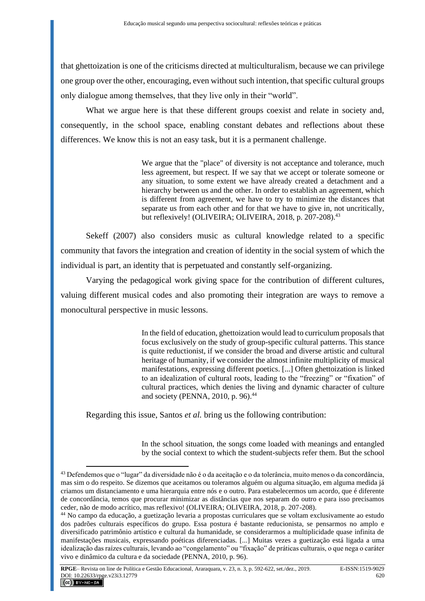that ghettoization is one of the criticisms directed at multiculturalism, because we can privilege one group over the other, encouraging, even without such intention, that specific cultural groups only dialogue among themselves, that they live only in their "world".

What we argue here is that these different groups coexist and relate in society and, consequently, in the school space, enabling constant debates and reflections about these differences. We know this is not an easy task, but it is a permanent challenge.

> We argue that the "place" of diversity is not acceptance and tolerance, much less agreement, but respect. If we say that we accept or tolerate someone or any situation, to some extent we have already created a detachment and a hierarchy between us and the other. In order to establish an agreement, which is different from agreement, we have to try to minimize the distances that separate us from each other and for that we have to give in, not uncritically, but reflexively! (OLIVEIRA; OLIVEIRA,  $2018$ , p.  $207-208$ ).<sup>43</sup>

Sekeff (2007) also considers music as cultural knowledge related to a specific community that favors the integration and creation of identity in the social system of which the individual is part, an identity that is perpetuated and constantly self-organizing.

Varying the pedagogical work giving space for the contribution of different cultures, valuing different musical codes and also promoting their integration are ways to remove a monocultural perspective in music lessons.

> In the field of education, ghettoization would lead to curriculum proposals that focus exclusively on the study of group-specific cultural patterns. This stance is quite reductionist, if we consider the broad and diverse artistic and cultural heritage of humanity, if we consider the almost infinite multiplicity of musical manifestations, expressing different poetics. [...] Often ghettoization is linked to an idealization of cultural roots, leading to the "freezing" or "fixation" of cultural practices, which denies the living and dynamic character of culture and society (PENNA, 2010, p. 96).<sup>44</sup>

Regarding this issue, Santos *et al.* bring us the following contribution:

In the school situation, the songs come loaded with meanings and entangled by the social context to which the student-subjects refer them. But the school

<sup>43</sup> Defendemos que o "lugar" da diversidade não é o da aceitação e o da tolerância, muito menos o da concordância, mas sim o do respeito. Se dizemos que aceitamos ou toleramos alguém ou alguma situação, em alguma medida já criamos um distanciamento e uma hierarquia entre nós e o outro. Para estabelecermos um acordo, que é diferente de concordância, temos que procurar minimizar as distâncias que nos separam do outro e para isso precisamos ceder, não de modo acrítico, mas reflexivo! (OLIVEIRA; OLIVEIRA, 2018, p. 207-208).

<sup>44</sup> No campo da educação, a guetização levaria a propostas curriculares que se voltam exclusivamente ao estudo dos padrões culturais específicos do grupo. Essa postura é bastante reducionista, se pensarmos no amplo e diversificado patrimônio artístico e cultural da humanidade, se considerarmos a multiplicidade quase infinita de manifestações musicais, expressando poéticas diferenciadas. [...] Muitas vezes a guetização está ligada a uma idealização das raízes culturais, levando ao "congelamento" ou "fixação" de práticas culturais, o que nega o caráter vivo e dinâmico da cultura e da sociedade (PENNA, 2010, p. 96).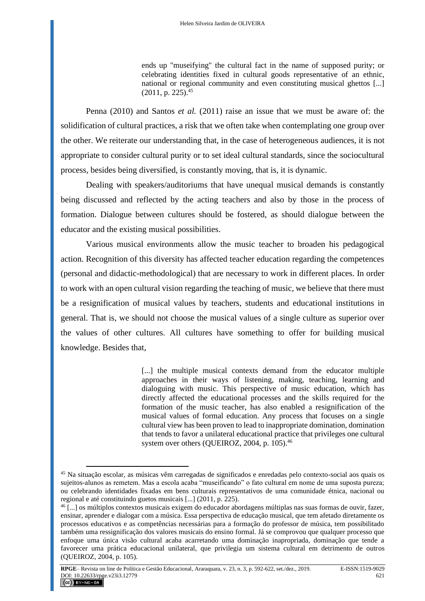ends up "museifying" the cultural fact in the name of supposed purity; or celebrating identities fixed in cultural goods representative of an ethnic, national or regional community and even constituting musical ghettos [...]  $(2011, p. 225).$ <sup>45</sup>

Penna (2010) and Santos *et al.* (2011) raise an issue that we must be aware of: the solidification of cultural practices, a risk that we often take when contemplating one group over the other. We reiterate our understanding that, in the case of heterogeneous audiences, it is not appropriate to consider cultural purity or to set ideal cultural standards, since the sociocultural process, besides being diversified, is constantly moving, that is, it is dynamic.

Dealing with speakers/auditoriums that have unequal musical demands is constantly being discussed and reflected by the acting teachers and also by those in the process of formation. Dialogue between cultures should be fostered, as should dialogue between the educator and the existing musical possibilities.

Various musical environments allow the music teacher to broaden his pedagogical action. Recognition of this diversity has affected teacher education regarding the competences (personal and didactic-methodological) that are necessary to work in different places. In order to work with an open cultural vision regarding the teaching of music, we believe that there must be a resignification of musical values by teachers, students and educational institutions in general. That is, we should not choose the musical values of a single culture as superior over the values of other cultures. All cultures have something to offer for building musical knowledge. Besides that,

> [...] the multiple musical contexts demand from the educator multiple approaches in their ways of listening, making, teaching, learning and dialoguing with music. This perspective of music education, which has directly affected the educational processes and the skills required for the formation of the music teacher, has also enabled a resignification of the musical values of formal education. Any process that focuses on a single cultural view has been proven to lead to inappropriate domination, domination that tends to favor a unilateral educational practice that privileges one cultural system over others (QUEIROZ, 2004, p.  $105$ ).<sup>46</sup>

<sup>45</sup> Na situação escolar, as músicas vêm carregadas de significados e enredadas pelo contexto-social aos quais os sujeitos-alunos as remetem. Mas a escola acaba "museificando" o fato cultural em nome de uma suposta pureza; ou celebrando identidades fixadas em bens culturais representativos de uma comunidade étnica, nacional ou regional e até constituindo guetos musicais [...] (2011, p. 225).

<sup>46</sup> [...] os múltiplos contextos musicais exigem do educador abordagens múltiplas nas suas formas de ouvir, fazer, ensinar, aprender e dialogar com a música. Essa perspectiva de educação musical, que tem afetado diretamente os processos educativos e as competências necessárias para a formação do professor de música, tem possibilitado também uma ressignificação dos valores musicais do ensino formal. Já se comprovou que qualquer processo que enfoque uma única visão cultural acaba acarretando uma dominação inapropriada, dominação que tende a favorecer uma prática educacional unilateral, que privilegia um sistema cultural em detrimento de outros (QUEIROZ, 2004, p. 105).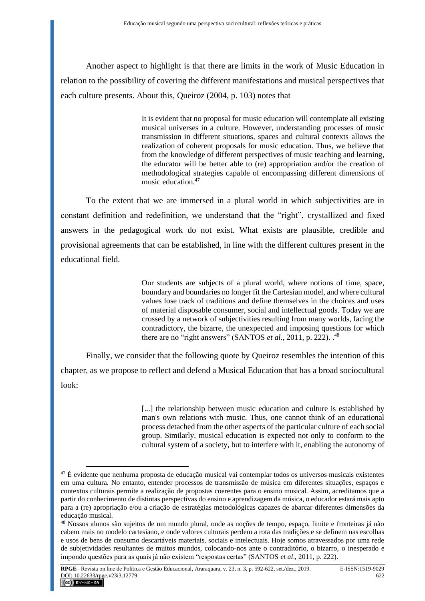Another aspect to highlight is that there are limits in the work of Music Education in relation to the possibility of covering the different manifestations and musical perspectives that each culture presents. About this, Queiroz (2004, p. 103) notes that

> It is evident that no proposal for music education will contemplate all existing musical universes in a culture. However, understanding processes of music transmission in different situations, spaces and cultural contexts allows the realization of coherent proposals for music education. Thus, we believe that from the knowledge of different perspectives of music teaching and learning, the educator will be better able to (re) appropriation and/or the creation of methodological strategies capable of encompassing different dimensions of music education.<sup>47</sup>

To the extent that we are immersed in a plural world in which subjectivities are in constant definition and redefinition, we understand that the "right", crystallized and fixed answers in the pedagogical work do not exist. What exists are plausible, credible and provisional agreements that can be established, in line with the different cultures present in the educational field.

> Our students are subjects of a plural world, where notions of time, space, boundary and boundaries no longer fit the Cartesian model, and where cultural values lose track of traditions and define themselves in the choices and uses of material disposable consumer, social and intellectual goods. Today we are crossed by a network of subjectivities resulting from many worlds, facing the contradictory, the bizarre, the unexpected and imposing questions for which there are no "right answers" (SANTOS *et al.*, 2011, p. 222).<sup>48</sup>

Finally, we consider that the following quote by Queiroz resembles the intention of this chapter, as we propose to reflect and defend a Musical Education that has a broad sociocultural look:

> [...] the relationship between music education and culture is established by man's own relations with music. Thus, one cannot think of an educational process detached from the other aspects of the particular culture of each social group. Similarly, musical education is expected not only to conform to the cultural system of a society, but to interfere with it, enabling the autonomy of

<sup>47</sup> É evidente que nenhuma proposta de educação musical vai contemplar todos os universos musicais existentes em uma cultura. No entanto, entender processos de transmissão de música em diferentes situações, espaços e contextos culturais permite a realização de propostas coerentes para o ensino musical. Assim, acreditamos que a partir do conhecimento de distintas perspectivas do ensino e aprendizagem da música, o educador estará mais apto para a (re) apropriação e/ou a criação de estratégias metodológicas capazes de abarcar diferentes dimensões da educação musical.

<sup>48</sup> Nossos alunos são sujeitos de um mundo plural, onde as noções de tempo, espaço, limite e fronteiras já não cabem mais no modelo cartesiano, e onde valores culturais perdem a rota das tradições e se definem nas escolhas e usos de bens de consumo descartáveis materiais, sociais e intelectuais. Hoje somos atravessados por uma rede de subjetividades resultantes de muitos mundos, colocando-nos ante o contraditório, o bizarro, o inesperado e impondo questões para as quais já não existem "respostas certas" (SANTOS *et al*., 2011, p. 222).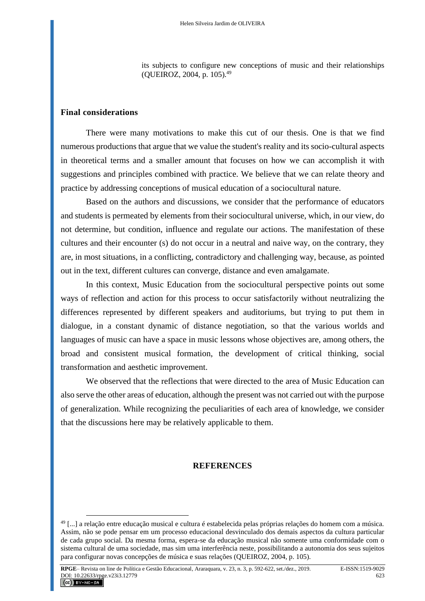its subjects to configure new conceptions of music and their relationships (QUEIROZ, 2004, p. 105).<sup>49</sup>

### **Final considerations**

There were many motivations to make this cut of our thesis. One is that we find numerous productions that argue that we value the student's reality and its socio-cultural aspects in theoretical terms and a smaller amount that focuses on how we can accomplish it with suggestions and principles combined with practice. We believe that we can relate theory and practice by addressing conceptions of musical education of a sociocultural nature.

Based on the authors and discussions, we consider that the performance of educators and students is permeated by elements from their sociocultural universe, which, in our view, do not determine, but condition, influence and regulate our actions. The manifestation of these cultures and their encounter (s) do not occur in a neutral and naive way, on the contrary, they are, in most situations, in a conflicting, contradictory and challenging way, because, as pointed out in the text, different cultures can converge, distance and even amalgamate.

In this context, Music Education from the sociocultural perspective points out some ways of reflection and action for this process to occur satisfactorily without neutralizing the differences represented by different speakers and auditoriums, but trying to put them in dialogue, in a constant dynamic of distance negotiation, so that the various worlds and languages of music can have a space in music lessons whose objectives are, among others, the broad and consistent musical formation, the development of critical thinking, social transformation and aesthetic improvement.

We observed that the reflections that were directed to the area of Music Education can also serve the other areas of education, although the present was not carried out with the purpose of generalization. While recognizing the peculiarities of each area of knowledge, we consider that the discussions here may be relatively applicable to them.

## **REFERENCES**

<sup>49</sup> [...] a relação entre educação musical e cultura é estabelecida pelas próprias relações do homem com a música. Assim, não se pode pensar em um processo educacional desvinculado dos demais aspectos da cultura particular de cada grupo social. Da mesma forma, espera-se da educação musical não somente uma conformidade com o sistema cultural de uma sociedade, mas sim uma interferência neste, possibilitando a autonomia dos seus sujeitos para configurar novas concepções de música e suas relações (QUEIROZ, 2004, p. 105).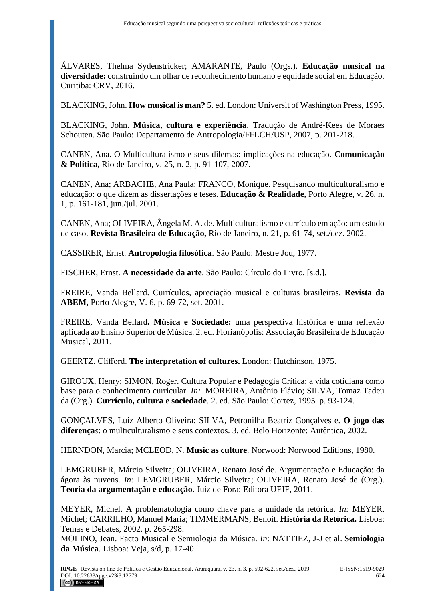ÁLVARES, Thelma Sydenstricker; AMARANTE, Paulo (Orgs.). **Educação musical na diversidade:** construindo um olhar de reconhecimento humano e equidade social em Educação. Curitiba: CRV, 2016.

BLACKING, John. **How musical is man?** 5. ed. London: Universit of Washington Press, 1995.

BLACKING, John. **Música, cultura e experiência**. Tradução de André-Kees de Moraes Schouten. São Paulo: Departamento de Antropologia/FFLCH/USP, 2007, p. 201-218.

CANEN, Ana. O Multiculturalismo e seus dilemas: implicações na educação. **Comunicação & Política,** Rio de Janeiro, v. 25, n. 2, p. 91-107, 2007.

CANEN, Ana; ARBACHE, Ana Paula; FRANCO, Monique. Pesquisando multiculturalismo e educação: o que dizem as dissertações e teses. **Educação & Realidade,** Porto Alegre, v. 26, n. 1, p. 161-181, jun./jul. 2001.

CANEN, Ana; OLIVEIRA, Ângela M. A. de. Multiculturalismo e currículo em ação: um estudo de caso. **Revista Brasileira de Educação,** Rio de Janeiro, n. 21, p. 61-74, set./dez. 2002.

CASSIRER, Ernst. **Antropologia filosófica**. São Paulo: Mestre Jou, 1977.

FISCHER, Ernst. **A necessidade da arte**. São Paulo: Círculo do Livro, [s.d.].

FREIRE, Vanda Bellard. Currículos, apreciação musical e culturas brasileiras. **Revista da ABEM,** Porto Alegre, V. 6, p. 69-72, set. 2001.

FREIRE, Vanda Bellard*.* **Música e Sociedade:** uma perspectiva histórica e uma reflexão aplicada ao Ensino Superior de Música. 2. ed. Florianópolis: Associação Brasileira de Educação Musical, 2011.

GEERTZ, Clifford. **The interpretation of cultures.** London: Hutchinson, 1975.

GIROUX, Henry; SIMON, Roger. Cultura Popular e Pedagogia Crítica: a vida cotidiana como base para o conhecimento curricular. *In:* MOREIRA, Antônio Flávio; SILVA, Tomaz Tadeu da (Org.). **Currículo, cultura e sociedade**. 2. ed. São Paulo: Cortez, 1995. p. 93-124.

GONÇALVES, Luiz Alberto Oliveira; SILVA, Petronilha Beatriz Gonçalves e. **O jogo das diferença***s*: o multiculturalismo e seus contextos. 3. ed. Belo Horizonte: Autêntica, 2002.

HERNDON, Marcia; MCLEOD, N. **Music as culture**. Norwood: Norwood Editions, 1980.

LEMGRUBER, Márcio Silveira; OLIVEIRA, Renato José de. Argumentação e Educação: da ágora às nuvens. *In:* LEMGRUBER, Márcio Silveira; OLIVEIRA, Renato José de (Org.). **Teoria da argumentação e educação.** Juiz de Fora: Editora UFJF, 2011.

MEYER, Michel. A problematologia como chave para a unidade da retórica. *In:* MEYER, Michel; CARRILHO, Manuel Maria; TIMMERMANS, Benoit. **História da Retórica.** Lisboa: Temas e Debates, 2002. p. 265-298.

MOLINO, Jean. Facto Musical e Semiologia da Música. *In*: NATTIEZ, J-J et al. **Semiologia da Música**. Lisboa: Veja, s/d, p. 17-40.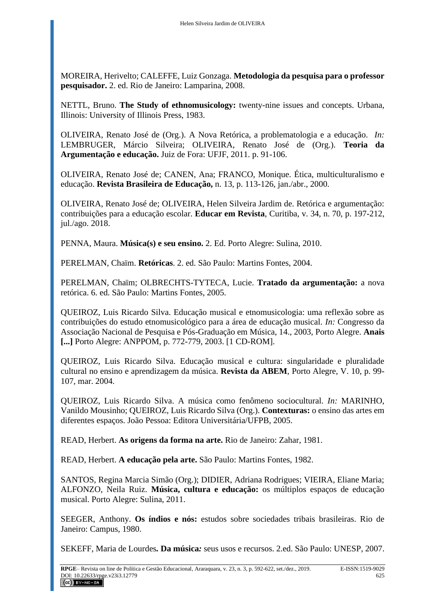MOREIRA, Herivelto; CALEFFE, Luiz Gonzaga. **Metodologia da pesquisa para o professor pesquisador.** 2. ed. Rio de Janeiro: Lamparina, 2008.

NETTL, Bruno. **The Study of ethnomusicology:** twenty-nine issues and concepts. Urbana, Illinois: University of Illinois Press, 1983.

OLIVEIRA, Renato José de (Org.). A Nova Retórica, a problematologia e a educação. *In:* LEMBRUGER, Márcio Silveira; OLIVEIRA, Renato José de (Org.). **Teoria da Argumentação e educação.** Juiz de Fora: UFJF, 2011. p. 91-106.

OLIVEIRA, Renato José de; CANEN, Ana; FRANCO, Monique. Ética, multiculturalismo e educação. **Revista Brasileira de Educação,** n. 13, p. 113-126, jan./abr., 2000.

OLIVEIRA, Renato José de; OLIVEIRA, Helen Silveira Jardim de. Retórica e argumentação: contribuições para a educação escolar. **Educar em Revista**, Curitiba, v. 34, n. 70, p. 197-212, jul./ago. 2018.

PENNA, Maura. **Música(s) e seu ensino.** 2. Ed. Porto Alegre: Sulina, 2010.

PERELMAN, Chaïm. **Retóricas**. 2. ed. São Paulo: Martins Fontes, 2004.

PERELMAN, Chaïm; OLBRECHTS-TYTECA, Lucie. **Tratado da argumentação:** a nova retórica. 6. ed. São Paulo: Martins Fontes, 2005.

QUEIROZ, Luis Ricardo Silva. Educação musical e etnomusicologia: uma reflexão sobre as contribuições do estudo etnomusicológico para a área de educação musical. *In:* Congresso da Associação Nacional de Pesquisa e Pós-Graduação em Música, 14., 2003, Porto Alegre. **Anais [...]** Porto Alegre: ANPPOM, p. 772-779, 2003. [1 CD-ROM].

QUEIROZ, Luis Ricardo Silva. Educação musical e cultura: singularidade e pluralidade cultural no ensino e aprendizagem da música. **Revista da ABEM**, Porto Alegre, V. 10, p. 99- 107, mar. 2004.

QUEIROZ, Luis Ricardo Silva. A música como fenômeno sociocultural. *In:* MARINHO, Vanildo Mousinho; QUEIROZ, Luis Ricardo Silva (Org.). **Contexturas:** o ensino das artes em diferentes espaços. João Pessoa: Editora Universitária/UFPB, 2005.

READ, Herbert. **As origens da forma na arte.** Rio de Janeiro: Zahar, 1981.

READ, Herbert. **A educação pela arte.** São Paulo: Martins Fontes, 1982.

SANTOS, Regina Marcia Simão (Org.); DIDIER, Adriana Rodrigues; VIEIRA, Eliane Maria; ALFONZO, Neila Ruiz. **Música, cultura e educação:** os múltiplos espaços de educação musical. Porto Alegre: Sulina, 2011.

SEEGER, Anthony. **Os índios e nós:** estudos sobre sociedades tribais brasileiras. Rio de Janeiro: Campus, 1980.

SEKEFF, Maria de Lourdes*.* **Da música***:* seus usos e recursos. 2.ed. São Paulo: UNESP, 2007.